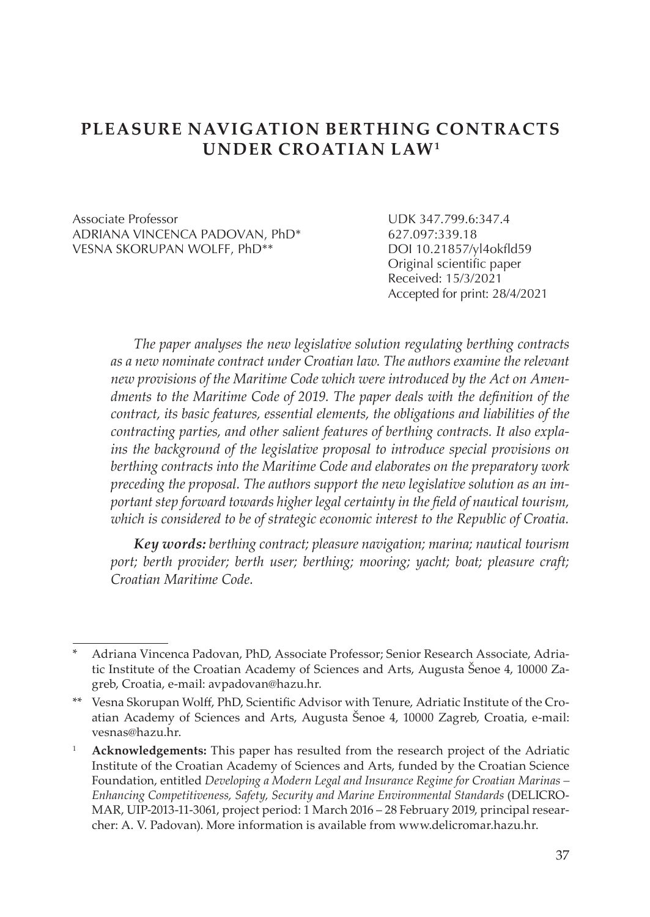# **PLEASURE NAVIGATION BERTHING CONTRACTS UNDER CROATIAN LAW1**

Associate Professor UDK 347.799.6:347.4 ADRIANA VINCENCA PADOVAN, PhD\* 627.097:339.18 VESNA SKORUPAN WOLFF, PhD\*\*

Original scientific paper Received: 15/3/2021 Accepted for print: 28/4/2021

*The paper analyses the new legislative solution regulating berthing contracts as a new nominate contract under Croatian law. The authors examine the relevant new provisions of the Maritime Code which were introduced by the Act on Amendments to the Maritime Code of 2019. The paper deals with the definition of the contract, its basic features, essential elements, the obligations and liabilities of the contracting parties, and other salient features of berthing contracts. It also explains the background of the legislative proposal to introduce special provisions on berthing contracts into the Maritime Code and elaborates on the preparatory work preceding the proposal. The authors support the new legislative solution as an important step forward towards higher legal certainty in the field of nautical tourism, which is considered to be of strategic economic interest to the Republic of Croatia.* 

*Key words: berthing contract; pleasure navigation; marina; nautical tourism port; berth provider; berth user; berthing; mooring; yacht; boat; pleasure craft; Croatian Maritime Code.*

<sup>\*</sup> Adriana Vincenca Padovan, PhD, Associate Professor; Senior Research Associate, Adriatic Institute of the Croatian Academy of Sciences and Arts, Augusta Šenoe 4, 10000 Zagreb, Croatia, e-mail: avpadovan@hazu.hr.

<sup>\*\*</sup> Vesna Skorupan Wolff, PhD, Scientific Advisor with Tenure, Adriatic Institute of the Croatian Academy of Sciences and Arts, Augusta Šenoe 4, 10000 Zagreb, Croatia, e-mail: vesnas@hazu.hr.

<sup>1</sup> **Acknowledgements:** This paper has resulted from the research project of the Adriatic Institute of the Croatian Academy of Sciences and Arts, funded by the Croatian Science Foundation, entitled *Developing a Modern Legal and Insurance Regime for Croatian Marinas – Enhancing Competitiveness, Safety, Security and Marine Environmental Standards* (DELICRO-MAR, UIP-2013-11-3061, project period: 1 March 2016 – 28 February 2019, principal researcher: A. V. Padovan). More information is available from www.delicromar.hazu.hr.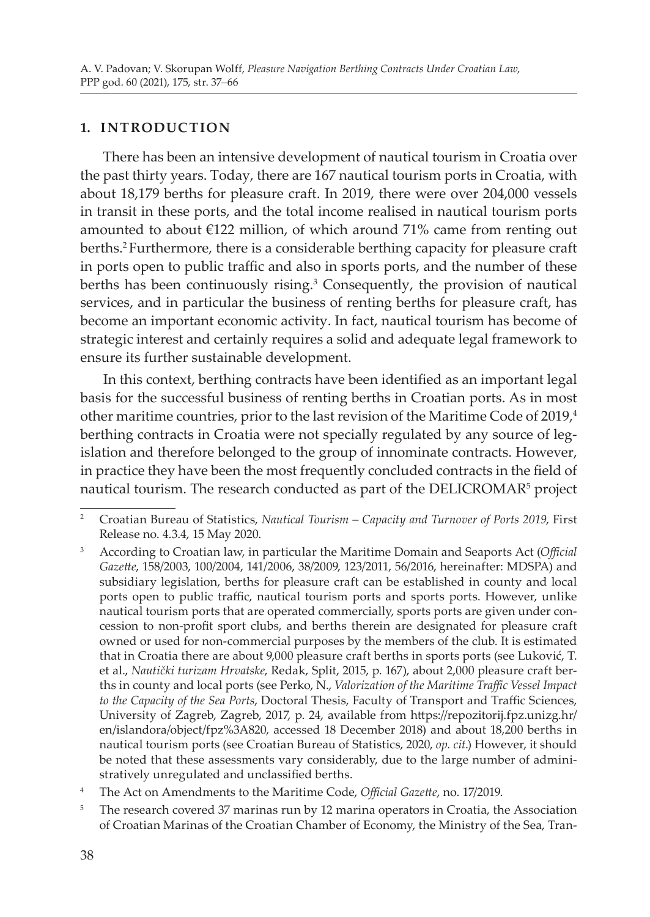#### **1. INTRODUCTION**

There has been an intensive development of nautical tourism in Croatia over the past thirty years. Today, there are 167 nautical tourism ports in Croatia, with about 18,179 berths for pleasure craft. In 2019, there were over 204,000 vessels in transit in these ports, and the total income realised in nautical tourism ports amounted to about  $E122$  million, of which around 71% came from renting out berths.<sup>2</sup> Furthermore, there is a considerable berthing capacity for pleasure craft in ports open to public traffic and also in sports ports, and the number of these berths has been continuously rising.<sup>3</sup> Consequently, the provision of nautical services, and in particular the business of renting berths for pleasure craft, has become an important economic activity. In fact, nautical tourism has become of strategic interest and certainly requires a solid and adequate legal framework to ensure its further sustainable development.

In this context, berthing contracts have been identified as an important legal basis for the successful business of renting berths in Croatian ports. As in most other maritime countries, prior to the last revision of the Maritime Code of 2019,<sup>4</sup> berthing contracts in Croatia were not specially regulated by any source of legislation and therefore belonged to the group of innominate contracts. However, in practice they have been the most frequently concluded contracts in the field of nautical tourism. The research conducted as part of the DELICROMAR<sup>5</sup> project

<sup>2</sup> Croatian Bureau of Statistics, *Nautical Tourism – Capacity and Turnover of Ports 2019*, First Release no. 4.3.4, 15 May 2020.

<sup>3</sup> According to Croatian law, in particular the Maritime Domain and Seaports Act (*Official Gazette*, 158/2003, 100/2004, 141/2006, 38/2009, 123/2011, 56/2016, hereinafter: MDSPA) and subsidiary legislation, berths for pleasure craft can be established in county and local ports open to public traffic, nautical tourism ports and sports ports. However, unlike nautical tourism ports that are operated commercially, sports ports are given under concession to non-profit sport clubs, and berths therein are designated for pleasure craft owned or used for non-commercial purposes by the members of the club. It is estimated that in Croatia there are about 9,000 pleasure craft berths in sports ports (see Luković, T. et al., *Nautički turizam Hrvatske*, Redak, Split, 2015, p. 167), about 2,000 pleasure craft berths in county and local ports (see Perko, N., *Valorization of the Maritime Traffic Vessel Impact to the Capacity of the Sea Ports*, Doctoral Thesis, Faculty of Transport and Traffic Sciences, University of Zagreb, Zagreb, 2017, p. 24, available from https://repozitorij.fpz.unizg.hr/ en/islandora/object/fpz%3A820, accessed 18 December 2018) and about 18,200 berths in nautical tourism ports (see Croatian Bureau of Statistics, 2020, *op. cit*.) However, it should be noted that these assessments vary considerably, due to the large number of administratively unregulated and unclassified berths.

<sup>4</sup> The Act on Amendments to the Maritime Code, *Official Gazette*, no. 17/2019.

<sup>&</sup>lt;sup>5</sup> The research covered 37 marinas run by 12 marina operators in Croatia, the Association of Croatian Marinas of the Croatian Chamber of Economy, the Ministry of the Sea, Tran-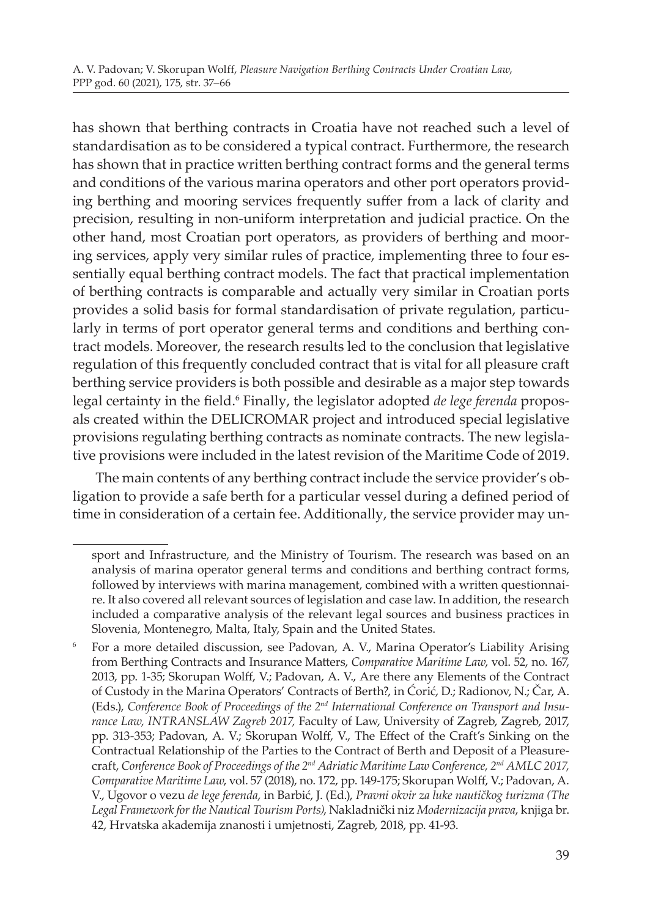has shown that berthing contracts in Croatia have not reached such a level of standardisation as to be considered a typical contract. Furthermore, the research has shown that in practice written berthing contract forms and the general terms and conditions of the various marina operators and other port operators providing berthing and mooring services frequently suffer from a lack of clarity and precision, resulting in non-uniform interpretation and judicial practice. On the other hand, most Croatian port operators, as providers of berthing and mooring services, apply very similar rules of practice, implementing three to four essentially equal berthing contract models. The fact that practical implementation of berthing contracts is comparable and actually very similar in Croatian ports provides a solid basis for formal standardisation of private regulation, particularly in terms of port operator general terms and conditions and berthing contract models. Moreover, the research results led to the conclusion that legislative regulation of this frequently concluded contract that is vital for all pleasure craft berthing service providers is both possible and desirable as a major step towards legal certainty in the field.<sup>6</sup> Finally, the legislator adopted *de lege ferenda* proposals created within the DELICROMAR project and introduced special legislative provisions regulating berthing contracts as nominate contracts. The new legislative provisions were included in the latest revision of the Maritime Code of 2019.

The main contents of any berthing contract include the service provider's obligation to provide a safe berth for a particular vessel during a defined period of time in consideration of a certain fee. Additionally, the service provider may un-

sport and Infrastructure, and the Ministry of Tourism. The research was based on an analysis of marina operator general terms and conditions and berthing contract forms, followed by interviews with marina management, combined with a written questionnaire. It also covered all relevant sources of legislation and case law. In addition, the research included a comparative analysis of the relevant legal sources and business practices in Slovenia, Montenegro, Malta, Italy, Spain and the United States.

<sup>6</sup> For a more detailed discussion, see Padovan, A. V., Marina Operator's Liability Arising from Berthing Contracts and Insurance Matters, *Comparative Maritime Law*, vol. 52, no. 167, 2013, pp. 1-35; Skorupan Wolff, V.; Padovan, A. V., Are there any Elements of the Contract of Custody in the Marina Operators' Contracts of Berth?, in Ćorić, D.; Radionov, N.; Čar, A. (Eds.), *Conference Book of Proceedings of the 2nd International Conference on Transport and Insurance Law, INTRANSLAW Zagreb 2017,* Faculty of Law, University of Zagreb, Zagreb, 2017, pp. 313-353; Padovan, A. V.; Skorupan Wolff, V., The Effect of the Craft's Sinking on the Contractual Relationship of the Parties to the Contract of Berth and Deposit of a Pleasurecraft, *Conference Book of Proceedings of the 2nd Adriatic Maritime Law Conference, 2nd AMLC 2017, Comparative Maritime Law*, vol. 57 (2018), no. 172, pp. 149-175; Skorupan Wolff, V.; Padovan, A. V., Ugovor o vezu *de lege ferenda*, in Barbić, J. (Ed.), *Pravni okvir za luke nautičkog turizma (The Legal Framework for the Nautical Tourism Ports)*, Nakladnički niz *Modernizacija prava*, knjiga br. 42, Hrvatska akademija znanosti i umjetnosti, Zagreb, 2018, pp. 41-93.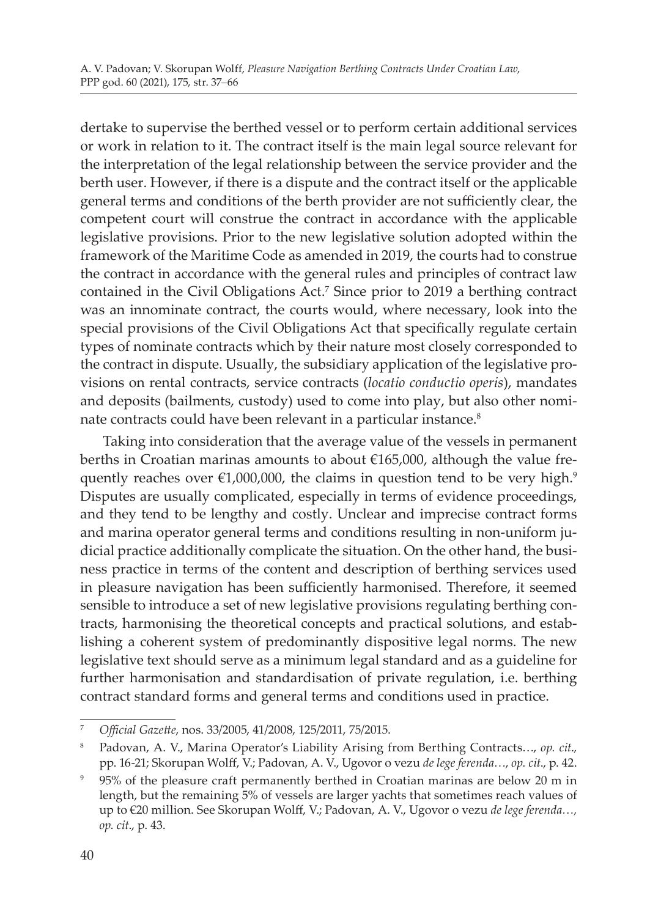dertake to supervise the berthed vessel or to perform certain additional services or work in relation to it. The contract itself is the main legal source relevant for the interpretation of the legal relationship between the service provider and the berth user. However, if there is a dispute and the contract itself or the applicable general terms and conditions of the berth provider are not sufficiently clear, the competent court will construe the contract in accordance with the applicable legislative provisions. Prior to the new legislative solution adopted within the framework of the Maritime Code as amended in 2019, the courts had to construe the contract in accordance with the general rules and principles of contract law contained in the Civil Obligations Act.<sup>7</sup> Since prior to 2019 a berthing contract was an innominate contract, the courts would, where necessary, look into the special provisions of the Civil Obligations Act that specifically regulate certain types of nominate contracts which by their nature most closely corresponded to the contract in dispute. Usually, the subsidiary application of the legislative provisions on rental contracts, service contracts (*locatio conductio operis*), mandates and deposits (bailments, custody) used to come into play, but also other nominate contracts could have been relevant in a particular instance.<sup>8</sup>

Taking into consideration that the average value of the vessels in permanent berths in Croatian marinas amounts to about €165,000, although the value frequently reaches over  $\epsilon$ 1,000,000, the claims in question tend to be very high.<sup>9</sup> Disputes are usually complicated, especially in terms of evidence proceedings, and they tend to be lengthy and costly. Unclear and imprecise contract forms and marina operator general terms and conditions resulting in non-uniform judicial practice additionally complicate the situation. On the other hand, the business practice in terms of the content and description of berthing services used in pleasure navigation has been sufficiently harmonised. Therefore, it seemed sensible to introduce a set of new legislative provisions regulating berthing contracts, harmonising the theoretical concepts and practical solutions, and establishing a coherent system of predominantly dispositive legal norms. The new legislative text should serve as a minimum legal standard and as a guideline for further harmonisation and standardisation of private regulation, i.e. berthing contract standard forms and general terms and conditions used in practice.

<sup>7</sup> *Official Gazette*, nos. 33/2005, 41/2008, 125/2011, 75/2015.

<sup>8</sup> Padovan, A. V., Marina Operator's Liability Arising from Berthing Contracts…, *op. cit*.*,* pp. 16-21; Skorupan Wolff, V.; Padovan, A. V., Ugovor o vezu *de lege ferenda…*, *op. cit*., p. 42.

<sup>9</sup> 95% of the pleasure craft permanently berthed in Croatian marinas are below 20 m in length, but the remaining 5% of vessels are larger yachts that sometimes reach values of up to €20 million. See Skorupan Wolff, V.; Padovan, A. V., Ugovor o vezu *de lege ferenda…, op. cit*., p. 43.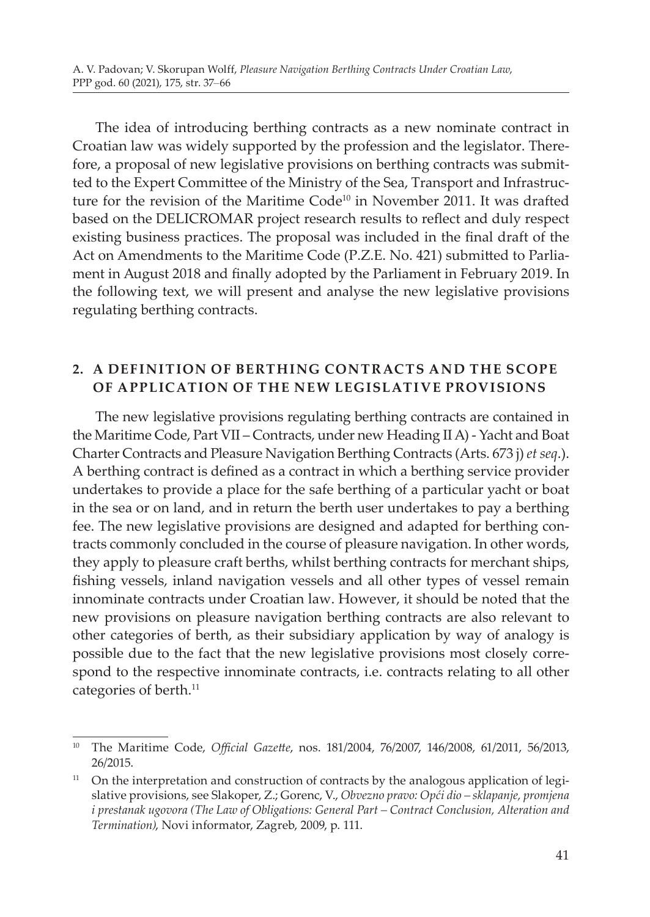The idea of introducing berthing contracts as a new nominate contract in Croatian law was widely supported by the profession and the legislator. Therefore, a proposal of new legislative provisions on berthing contracts was submitted to the Expert Committee of the Ministry of the Sea, Transport and Infrastructure for the revision of the Maritime  $Code^{10}$  in November 2011. It was drafted based on the DELICROMAR project research results to reflect and duly respect existing business practices. The proposal was included in the final draft of the Act on Amendments to the Maritime Code (P.Z.E. No. 421) submitted to Parliament in August 2018 and finally adopted by the Parliament in February 2019. In the following text, we will present and analyse the new legislative provisions regulating berthing contracts.

#### **2. A DEFINITION OF BERT HING CON T R ACTS AND T HE SCOPE OF APPLICATION OF THE NEW LEGISLATIVE PROVISIONS**

The new legislative provisions regulating berthing contracts are contained in the Maritime Code, Part VII – Contracts, under new Heading II A) - Yacht and Boat Charter Contracts and Pleasure Navigation Berthing Contracts (Arts. 673 j) *et seq*.). A berthing contract is defined as a contract in which a berthing service provider undertakes to provide a place for the safe berthing of a particular yacht or boat in the sea or on land, and in return the berth user undertakes to pay a berthing fee. The new legislative provisions are designed and adapted for berthing contracts commonly concluded in the course of pleasure navigation. In other words, they apply to pleasure craft berths, whilst berthing contracts for merchant ships, fishing vessels, inland navigation vessels and all other types of vessel remain innominate contracts under Croatian law. However, it should be noted that the new provisions on pleasure navigation berthing contracts are also relevant to other categories of berth, as their subsidiary application by way of analogy is possible due to the fact that the new legislative provisions most closely correspond to the respective innominate contracts, i.e. contracts relating to all other categories of berth.<sup>11</sup>

<sup>10</sup> The Maritime Code, *Official Gazette*, nos. 181/2004, 76/2007, 146/2008, 61/2011, 56/2013, 26/2015.

<sup>&</sup>lt;sup>11</sup> On the interpretation and construction of contracts by the analogous application of legislative provisions, see Slakoper, Z.; Gorenc, V., *Obvezno pravo: Opći dio – sklapanje, promjena i prestanak ugovora (The Law of Obligations: General Part – Contract Conclusion, Alteration and Termination)*, Novi informator, Zagreb, 2009, p. 111.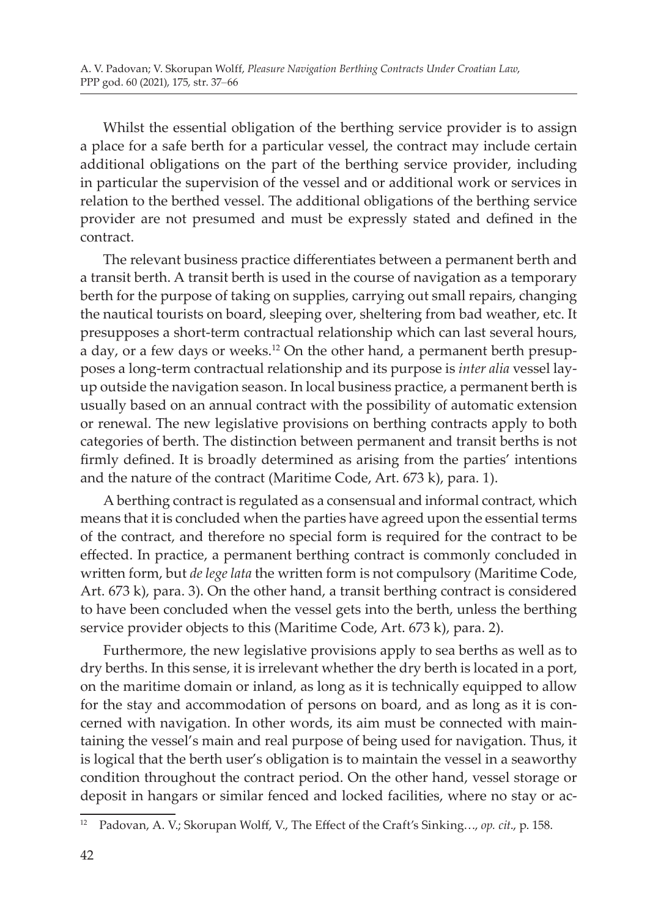Whilst the essential obligation of the berthing service provider is to assign a place for a safe berth for a particular vessel, the contract may include certain additional obligations on the part of the berthing service provider, including in particular the supervision of the vessel and or additional work or services in relation to the berthed vessel. The additional obligations of the berthing service provider are not presumed and must be expressly stated and defined in the contract.

The relevant business practice differentiates between a permanent berth and a transit berth. A transit berth is used in the course of navigation as a temporary berth for the purpose of taking on supplies, carrying out small repairs, changing the nautical tourists on board, sleeping over, sheltering from bad weather, etc. It presupposes a short-term contractual relationship which can last several hours, a day, or a few days or weeks.<sup>12</sup> On the other hand, a permanent berth presupposes a long-term contractual relationship and its purpose is *inter alia* vessel layup outside the navigation season. In local business practice, a permanent berth is usually based on an annual contract with the possibility of automatic extension or renewal. The new legislative provisions on berthing contracts apply to both categories of berth. The distinction between permanent and transit berths is not firmly defined. It is broadly determined as arising from the parties' intentions and the nature of the contract (Maritime Code, Art. 673 k), para. 1).

A berthing contract is regulated as a consensual and informal contract, which means that it is concluded when the parties have agreed upon the essential terms of the contract, and therefore no special form is required for the contract to be effected. In practice, a permanent berthing contract is commonly concluded in written form, but *de lege lata* the written form is not compulsory (Maritime Code, Art. 673 k), para. 3). On the other hand, a transit berthing contract is considered to have been concluded when the vessel gets into the berth, unless the berthing service provider objects to this (Maritime Code, Art. 673 k), para. 2).

Furthermore, the new legislative provisions apply to sea berths as well as to dry berths. In this sense, it is irrelevant whether the dry berth is located in a port, on the maritime domain or inland, as long as it is technically equipped to allow for the stay and accommodation of persons on board, and as long as it is concerned with navigation. In other words, its aim must be connected with maintaining the vessel's main and real purpose of being used for navigation. Thus, it is logical that the berth user's obligation is to maintain the vessel in a seaworthy condition throughout the contract period. On the other hand, vessel storage or deposit in hangars or similar fenced and locked facilities, where no stay or ac-

<sup>12</sup> Padovan, A. V.; Skorupan Wolff, V., The Effect of the Craft's Sinking…, *op. cit*., p. 158.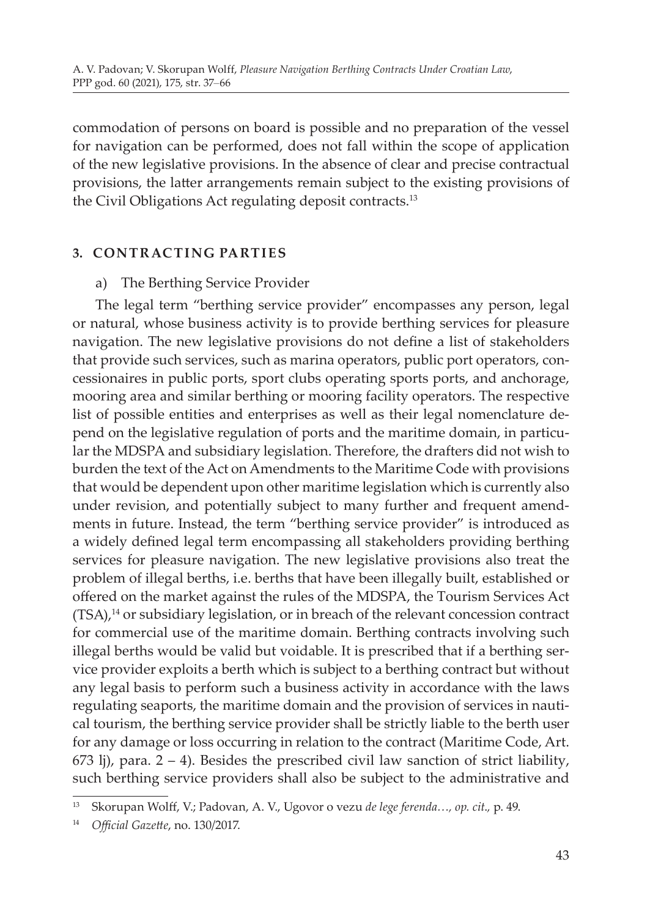commodation of persons on board is possible and no preparation of the vessel for navigation can be performed, does not fall within the scope of application of the new legislative provisions. In the absence of clear and precise contractual provisions, the latter arrangements remain subject to the existing provisions of the Civil Obligations Act regulating deposit contracts.<sup>13</sup>

#### **3. CONTRACTING PARTIES**

#### a) The Berthing Service Provider

The legal term "berthing service provider" encompasses any person, legal or natural, whose business activity is to provide berthing services for pleasure navigation. The new legislative provisions do not define a list of stakeholders that provide such services, such as marina operators, public port operators, concessionaires in public ports, sport clubs operating sports ports, and anchorage, mooring area and similar berthing or mooring facility operators. The respective list of possible entities and enterprises as well as their legal nomenclature depend on the legislative regulation of ports and the maritime domain, in particular the MDSPA and subsidiary legislation. Therefore, the drafters did not wish to burden the text of the Act on Amendments to the Maritime Code with provisions that would be dependent upon other maritime legislation which is currently also under revision, and potentially subject to many further and frequent amendments in future. Instead, the term "berthing service provider" is introduced as a widely defined legal term encompassing all stakeholders providing berthing services for pleasure navigation. The new legislative provisions also treat the problem of illegal berths, i.e. berths that have been illegally built, established or offered on the market against the rules of the MDSPA, the Tourism Services Act  $(TSA)$ ,<sup>14</sup> or subsidiary legislation, or in breach of the relevant concession contract for commercial use of the maritime domain. Berthing contracts involving such illegal berths would be valid but voidable. It is prescribed that if a berthing service provider exploits a berth which is subject to a berthing contract but without any legal basis to perform such a business activity in accordance with the laws regulating seaports, the maritime domain and the provision of services in nautical tourism, the berthing service provider shall be strictly liable to the berth user for any damage or loss occurring in relation to the contract (Maritime Code, Art.  $673$  lj), para.  $2 - 4$ ). Besides the prescribed civil law sanction of strict liability, such berthing service providers shall also be subject to the administrative and

<sup>13</sup> Skorupan Wolff, V.; Padovan, A. V., Ugovor o vezu *de lege ferenda…, op. cit*.*,* p. 49.

<sup>14</sup> *Official Gazette*, no. 130/2017.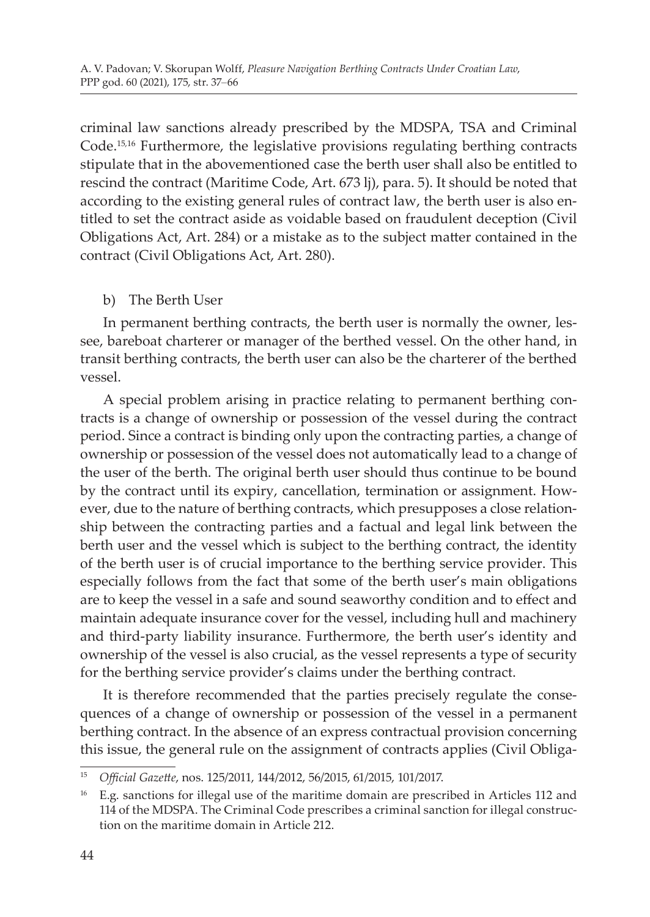criminal law sanctions already prescribed by the MDSPA, TSA and Criminal Code.15,16 Furthermore, the legislative provisions regulating berthing contracts stipulate that in the abovementioned case the berth user shall also be entitled to rescind the contract (Maritime Code, Art. 673 lj), para. 5). It should be noted that according to the existing general rules of contract law, the berth user is also entitled to set the contract aside as voidable based on fraudulent deception (Civil Obligations Act, Art. 284) or a mistake as to the subject matter contained in the contract (Civil Obligations Act, Art. 280).

# b) The Berth User

In permanent berthing contracts, the berth user is normally the owner, lessee, bareboat charterer or manager of the berthed vessel. On the other hand, in transit berthing contracts, the berth user can also be the charterer of the berthed vessel.

A special problem arising in practice relating to permanent berthing contracts is a change of ownership or possession of the vessel during the contract period. Since a contract is binding only upon the contracting parties, a change of ownership or possession of the vessel does not automatically lead to a change of the user of the berth. The original berth user should thus continue to be bound by the contract until its expiry, cancellation, termination or assignment. However, due to the nature of berthing contracts, which presupposes a close relationship between the contracting parties and a factual and legal link between the berth user and the vessel which is subject to the berthing contract, the identity of the berth user is of crucial importance to the berthing service provider. This especially follows from the fact that some of the berth user's main obligations are to keep the vessel in a safe and sound seaworthy condition and to effect and maintain adequate insurance cover for the vessel, including hull and machinery and third-party liability insurance. Furthermore, the berth user's identity and ownership of the vessel is also crucial, as the vessel represents a type of security for the berthing service provider's claims under the berthing contract.

It is therefore recommended that the parties precisely regulate the consequences of a change of ownership or possession of the vessel in a permanent berthing contract. In the absence of an express contractual provision concerning this issue, the general rule on the assignment of contracts applies (Civil Obliga-

<sup>15</sup> *Official Gazette*, nos. 125/2011, 144/2012, 56/2015, 61/2015, 101/2017.

<sup>&</sup>lt;sup>16</sup> E.g. sanctions for illegal use of the maritime domain are prescribed in Articles 112 and 114 of the MDSPA. The Criminal Code prescribes a criminal sanction for illegal construction on the maritime domain in Article 212.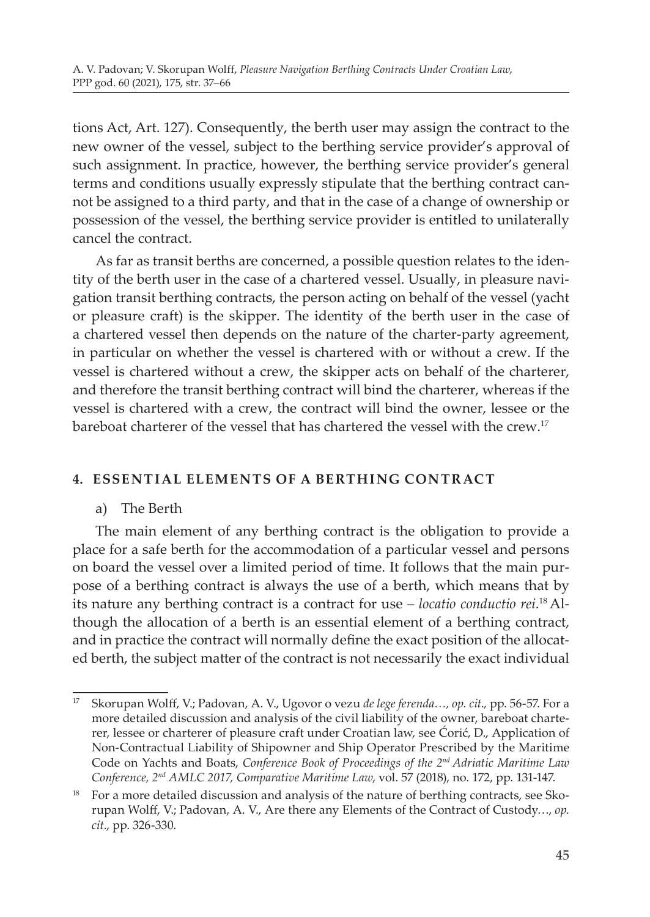tions Act, Art. 127). Consequently, the berth user may assign the contract to the new owner of the vessel, subject to the berthing service provider's approval of such assignment. In practice, however, the berthing service provider's general terms and conditions usually expressly stipulate that the berthing contract cannot be assigned to a third party, and that in the case of a change of ownership or possession of the vessel, the berthing service provider is entitled to unilaterally cancel the contract.

As far as transit berths are concerned, a possible question relates to the identity of the berth user in the case of a chartered vessel. Usually, in pleasure navigation transit berthing contracts, the person acting on behalf of the vessel (yacht or pleasure craft) is the skipper. The identity of the berth user in the case of a chartered vessel then depends on the nature of the charter-party agreement, in particular on whether the vessel is chartered with or without a crew. If the vessel is chartered without a crew, the skipper acts on behalf of the charterer, and therefore the transit berthing contract will bind the charterer, whereas if the vessel is chartered with a crew, the contract will bind the owner, lessee or the bareboat charterer of the vessel that has chartered the vessel with the crew.<sup>17</sup>

# **4. ESSEN TIAL ELEMENTS OF A BERT HING CONT R ACT**

#### a) The Berth

The main element of any berthing contract is the obligation to provide a place for a safe berth for the accommodation of a particular vessel and persons on board the vessel over a limited period of time. It follows that the main purpose of a berthing contract is always the use of a berth, which means that by its nature any berthing contract is a contract for use – *locatio conductio rei*. <sup>18</sup> Although the allocation of a berth is an essential element of a berthing contract, and in practice the contract will normally define the exact position of the allocated berth, the subject matter of the contract is not necessarily the exact individual

<sup>17</sup> Skorupan Wolff, V.; Padovan, A. V., Ugovor o vezu *de lege ferenda…, op. cit*.*,* pp. 56-57. For a more detailed discussion and analysis of the civil liability of the owner, bareboat charterer, lessee or charterer of pleasure craft under Croatian law, see Ćorić, D., Application of Non-Contractual Liability of Shipowner and Ship Operator Prescribed by the Maritime Code on Yachts and Boats, *Conference Book of Proceedings of the 2nd Adriatic Maritime Law Conference, 2nd AMLC 2017, Comparative Maritime Law*, vol. 57 (2018), no. 172, pp. 131-147.

<sup>&</sup>lt;sup>18</sup> For a more detailed discussion and analysis of the nature of berthing contracts, see Skorupan Wolff, V.; Padovan, A. V., Are there any Elements of the Contract of Custody…, *op. cit.*, pp. 326-330.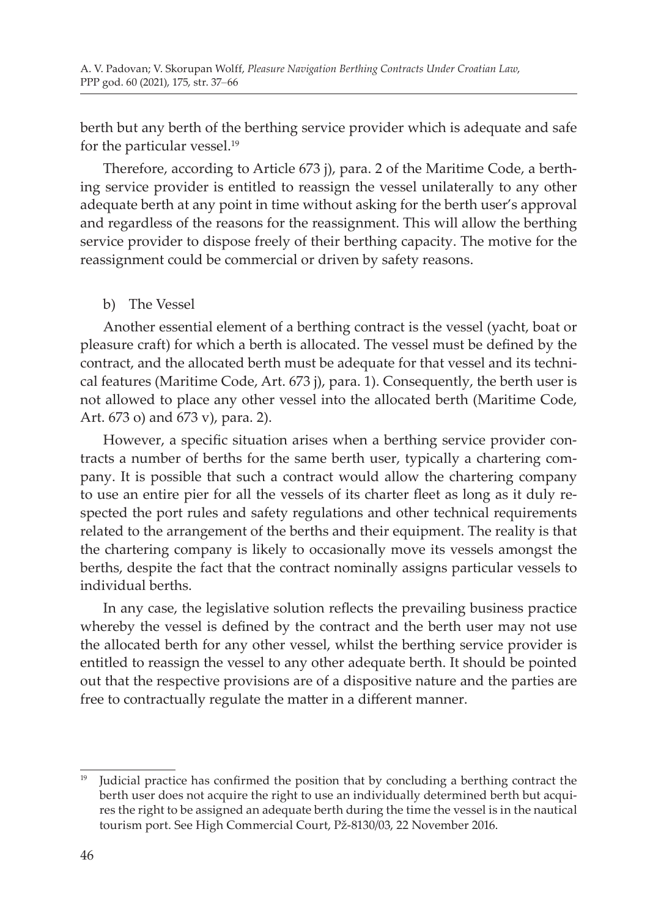berth but any berth of the berthing service provider which is adequate and safe for the particular vessel.<sup>19</sup>

Therefore, according to Article 673 j), para. 2 of the Maritime Code, a berthing service provider is entitled to reassign the vessel unilaterally to any other adequate berth at any point in time without asking for the berth user's approval and regardless of the reasons for the reassignment. This will allow the berthing service provider to dispose freely of their berthing capacity. The motive for the reassignment could be commercial or driven by safety reasons.

#### b) The Vessel

Another essential element of a berthing contract is the vessel (yacht, boat or pleasure craft) for which a berth is allocated. The vessel must be defined by the contract, and the allocated berth must be adequate for that vessel and its technical features (Maritime Code, Art. 673 j), para. 1). Consequently, the berth user is not allowed to place any other vessel into the allocated berth (Maritime Code, Art. 673 o) and 673 v), para. 2).

However, a specific situation arises when a berthing service provider contracts a number of berths for the same berth user, typically a chartering company. It is possible that such a contract would allow the chartering company to use an entire pier for all the vessels of its charter fleet as long as it duly respected the port rules and safety regulations and other technical requirements related to the arrangement of the berths and their equipment. The reality is that the chartering company is likely to occasionally move its vessels amongst the berths, despite the fact that the contract nominally assigns particular vessels to individual berths.

In any case, the legislative solution reflects the prevailing business practice whereby the vessel is defined by the contract and the berth user may not use the allocated berth for any other vessel, whilst the berthing service provider is entitled to reassign the vessel to any other adequate berth. It should be pointed out that the respective provisions are of a dispositive nature and the parties are free to contractually regulate the matter in a different manner.

<sup>19</sup> Judicial practice has confirmed the position that by concluding a berthing contract the berth user does not acquire the right to use an individually determined berth but acquires the right to be assigned an adequate berth during the time the vessel is in the nautical tourism port. See High Commercial Court, Pž-8130/03, 22 November 2016.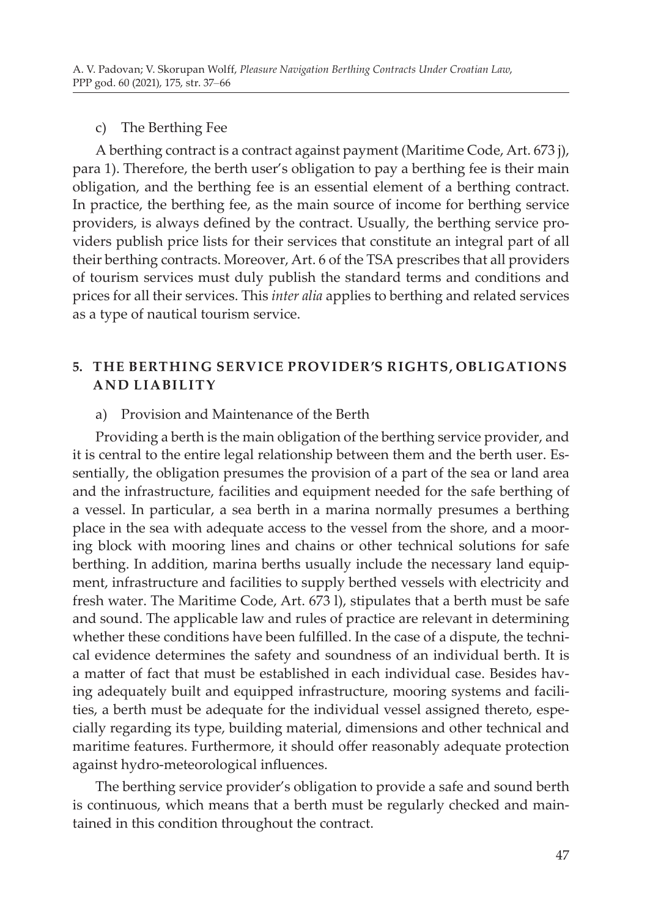#### c) The Berthing Fee

A berthing contract is a contract against payment (Maritime Code, Art. 673 j), para 1). Therefore, the berth user's obligation to pay a berthing fee is their main obligation, and the berthing fee is an essential element of a berthing contract. In practice, the berthing fee, as the main source of income for berthing service providers, is always defined by the contract. Usually, the berthing service providers publish price lists for their services that constitute an integral part of all their berthing contracts. Moreover, Art. 6 of the TSA prescribes that all providers of tourism services must duly publish the standard terms and conditions and prices for all their services. This *inter alia* applies to berthing and related services as a type of nautical tourism service.

#### **5. THE BERTHING SERVICE PROVIDER'S RIGHTS, OBLIGATIONS AND LIABILIT Y**

#### a) Provision and Maintenance of the Berth

Providing a berth is the main obligation of the berthing service provider, and it is central to the entire legal relationship between them and the berth user. Essentially, the obligation presumes the provision of a part of the sea or land area and the infrastructure, facilities and equipment needed for the safe berthing of a vessel. In particular, a sea berth in a marina normally presumes a berthing place in the sea with adequate access to the vessel from the shore, and a mooring block with mooring lines and chains or other technical solutions for safe berthing. In addition, marina berths usually include the necessary land equipment, infrastructure and facilities to supply berthed vessels with electricity and fresh water. The Maritime Code, Art. 673 l), stipulates that a berth must be safe and sound. The applicable law and rules of practice are relevant in determining whether these conditions have been fulfilled. In the case of a dispute, the technical evidence determines the safety and soundness of an individual berth. It is a matter of fact that must be established in each individual case. Besides having adequately built and equipped infrastructure, mooring systems and facilities, a berth must be adequate for the individual vessel assigned thereto, especially regarding its type, building material, dimensions and other technical and maritime features. Furthermore, it should offer reasonably adequate protection against hydro-meteorological influences.

The berthing service provider's obligation to provide a safe and sound berth is continuous, which means that a berth must be regularly checked and maintained in this condition throughout the contract.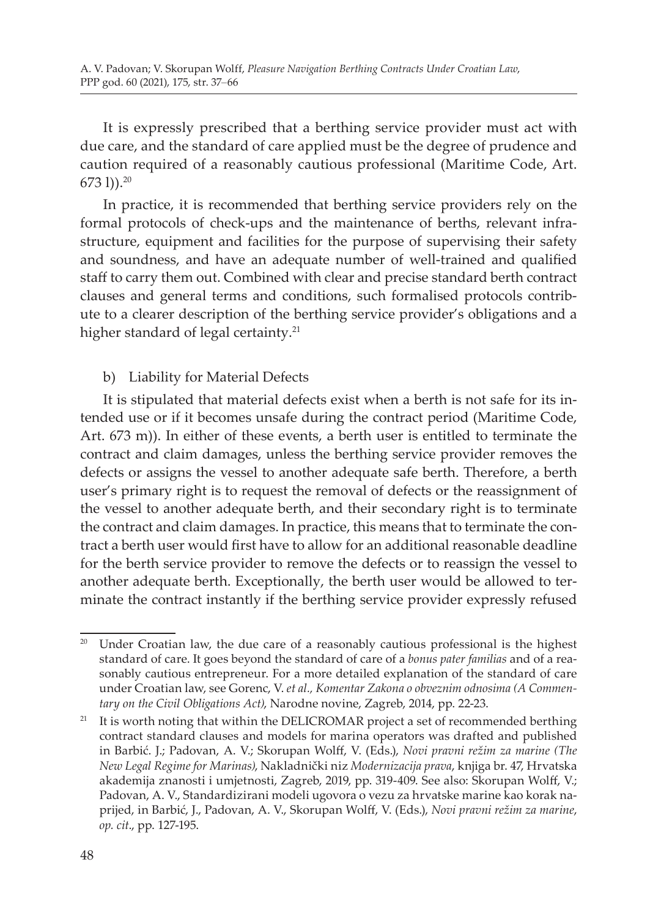It is expressly prescribed that a berthing service provider must act with due care, and the standard of care applied must be the degree of prudence and caution required of a reasonably cautious professional (Maritime Code, Art.  $673$  l)).<sup>20</sup>

In practice, it is recommended that berthing service providers rely on the formal protocols of check-ups and the maintenance of berths, relevant infrastructure, equipment and facilities for the purpose of supervising their safety and soundness, and have an adequate number of well-trained and qualified staff to carry them out. Combined with clear and precise standard berth contract clauses and general terms and conditions, such formalised protocols contribute to a clearer description of the berthing service provider's obligations and a higher standard of legal certainty.<sup>21</sup>

b) Liability for Material Defects

It is stipulated that material defects exist when a berth is not safe for its intended use or if it becomes unsafe during the contract period (Maritime Code, Art. 673 m)). In either of these events, a berth user is entitled to terminate the contract and claim damages, unless the berthing service provider removes the defects or assigns the vessel to another adequate safe berth. Therefore, a berth user's primary right is to request the removal of defects or the reassignment of the vessel to another adequate berth, and their secondary right is to terminate the contract and claim damages. In practice, this means that to terminate the contract a berth user would first have to allow for an additional reasonable deadline for the berth service provider to remove the defects or to reassign the vessel to another adequate berth. Exceptionally, the berth user would be allowed to terminate the contract instantly if the berthing service provider expressly refused

<sup>&</sup>lt;sup>20</sup> Under Croatian law, the due care of a reasonably cautious professional is the highest standard of care. It goes beyond the standard of care of a *bonus pater familias* and of a reasonably cautious entrepreneur. For a more detailed explanation of the standard of care under Croatian law, see Gorenc, V. *et al., Komentar Zakona o obveznim odnosima (A Commentary on the Civil Obligations Act)*, Narodne novine, Zagreb, 2014, pp. 22-23.

<sup>&</sup>lt;sup>21</sup> It is worth noting that within the DELICROMAR project a set of recommended berthing contract standard clauses and models for marina operators was drafted and published in Barbić. J.; Padovan, A. V.; Skorupan Wolff, V. (Eds.), *Novi pravni režim za marine (The New Legal Regime for Marinas)*, Nakladnički niz *Modernizacija prava*, knjiga br. 47, Hrvatska akademija znanosti i umjetnosti, Zagreb, 2019, pp. 319-409. See also: Skorupan Wolff, V.; Padovan, A. V., Standardizirani modeli ugovora o vezu za hrvatske marine kao korak naprijed, in Barbić, J., Padovan, A. V., Skorupan Wolff, V. (Eds.), *Novi pravni režim za marine*, *op. cit*., pp. 127-195.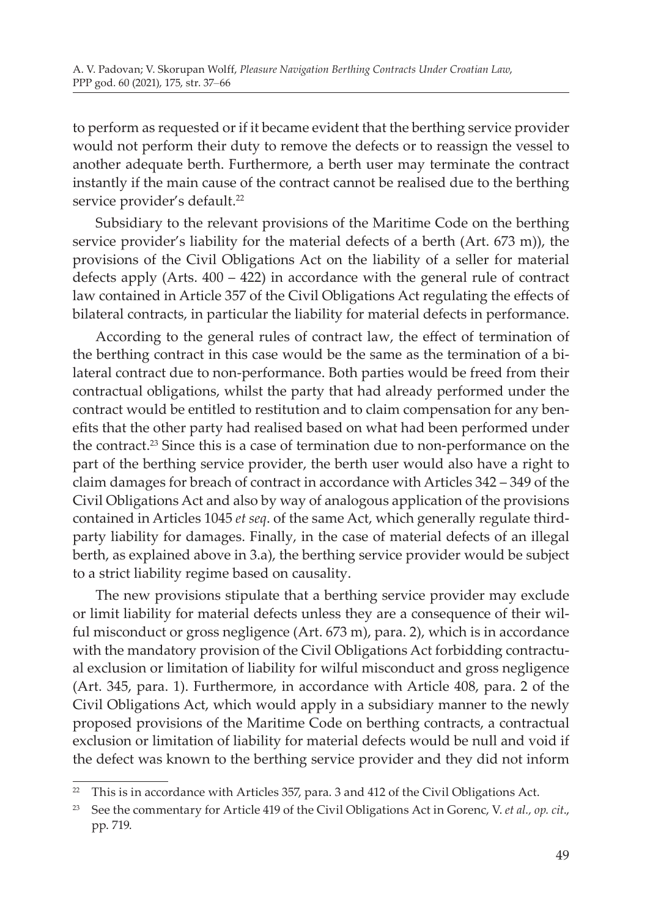to perform as requested or if it became evident that the berthing service provider would not perform their duty to remove the defects or to reassign the vessel to another adequate berth. Furthermore, a berth user may terminate the contract instantly if the main cause of the contract cannot be realised due to the berthing service provider's default.<sup>22</sup>

Subsidiary to the relevant provisions of the Maritime Code on the berthing service provider's liability for the material defects of a berth (Art. 673 m)), the provisions of the Civil Obligations Act on the liability of a seller for material defects apply (Arts. 400 – 422) in accordance with the general rule of contract law contained in Article 357 of the Civil Obligations Act regulating the effects of bilateral contracts, in particular the liability for material defects in performance.

According to the general rules of contract law, the effect of termination of the berthing contract in this case would be the same as the termination of a bilateral contract due to non-performance. Both parties would be freed from their contractual obligations, whilst the party that had already performed under the contract would be entitled to restitution and to claim compensation for any benefits that the other party had realised based on what had been performed under the contract.<sup>23</sup> Since this is a case of termination due to non-performance on the part of the berthing service provider, the berth user would also have a right to claim damages for breach of contract in accordance with Articles 342 – 349 of the Civil Obligations Act and also by way of analogous application of the provisions contained in Articles 1045 *et seq*. of the same Act, which generally regulate thirdparty liability for damages. Finally, in the case of material defects of an illegal berth, as explained above in 3.a), the berthing service provider would be subject to a strict liability regime based on causality.

The new provisions stipulate that a berthing service provider may exclude or limit liability for material defects unless they are a consequence of their wilful misconduct or gross negligence (Art. 673 m), para. 2), which is in accordance with the mandatory provision of the Civil Obligations Act forbidding contractual exclusion or limitation of liability for wilful misconduct and gross negligence (Art. 345, para. 1). Furthermore, in accordance with Article 408, para. 2 of the Civil Obligations Act, which would apply in a subsidiary manner to the newly proposed provisions of the Maritime Code on berthing contracts, a contractual exclusion or limitation of liability for material defects would be null and void if the defect was known to the berthing service provider and they did not inform

 $22$  This is in accordance with Articles 357, para. 3 and 412 of the Civil Obligations Act.

<sup>23</sup> See the commentary for Article 419 of the Civil Obligations Act in Gorenc, V. *et al., op. cit*., pp. 719.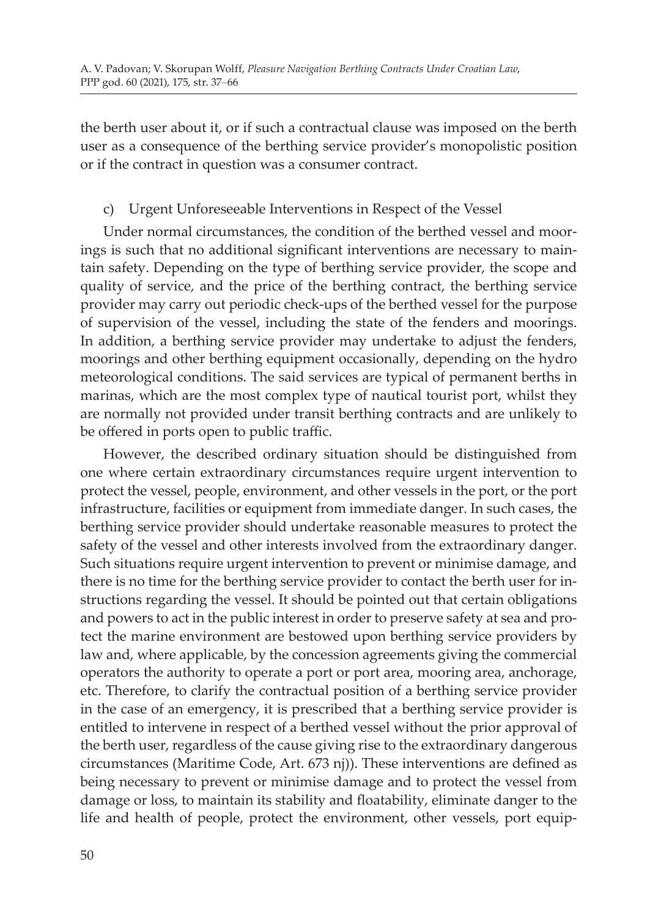the berth user about it, or if such a contractual clause was imposed on the berth user as a consequence of the berthing service provider's monopolistic position or if the contract in question was a consumer contract.

# c) Urgent Unforeseeable Interventions in Respect of the Vessel

Under normal circumstances, the condition of the berthed vessel and moorings is such that no additional significant interventions are necessary to maintain safety. Depending on the type of berthing service provider, the scope and quality of service, and the price of the berthing contract, the berthing service provider may carry out periodic check-ups of the berthed vessel for the purpose of supervision of the vessel, including the state of the fenders and moorings. In addition, a berthing service provider may undertake to adjust the fenders, moorings and other berthing equipment occasionally, depending on the hydro meteorological conditions. The said services are typical of permanent berths in marinas, which are the most complex type of nautical tourist port, whilst they are normally not provided under transit berthing contracts and are unlikely to be offered in ports open to public traffic.

However, the described ordinary situation should be distinguished from one where certain extraordinary circumstances require urgent intervention to protect the vessel, people, environment, and other vessels in the port, or the port infrastructure, facilities or equipment from immediate danger. In such cases, the berthing service provider should undertake reasonable measures to protect the safety of the vessel and other interests involved from the extraordinary danger. Such situations require urgent intervention to prevent or minimise damage, and there is no time for the berthing service provider to contact the berth user for instructions regarding the vessel. It should be pointed out that certain obligations and powers to act in the public interest in order to preserve safety at sea and protect the marine environment are bestowed upon berthing service providers by law and, where applicable, by the concession agreements giving the commercial operators the authority to operate a port or port area, mooring area, anchorage, etc. Therefore, to clarify the contractual position of a berthing service provider in the case of an emergency, it is prescribed that a berthing service provider is entitled to intervene in respect of a berthed vessel without the prior approval of the berth user, regardless of the cause giving rise to the extraordinary dangerous circumstances (Maritime Code, Art. 673 nj)). These interventions are defined as being necessary to prevent or minimise damage and to protect the vessel from damage or loss, to maintain its stability and floatability, eliminate danger to the life and health of people, protect the environment, other vessels, port equip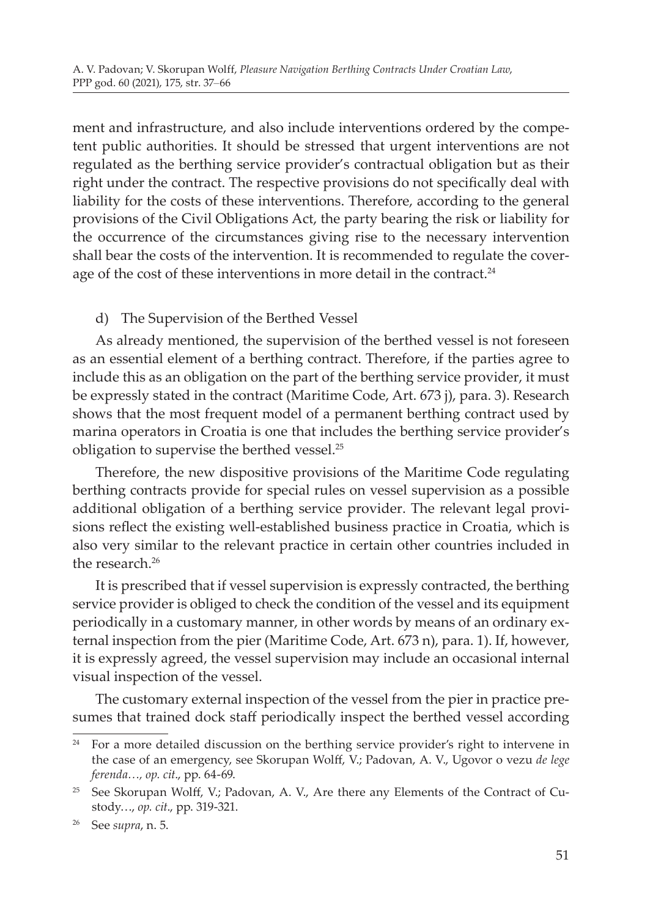ment and infrastructure, and also include interventions ordered by the competent public authorities. It should be stressed that urgent interventions are not regulated as the berthing service provider's contractual obligation but as their right under the contract. The respective provisions do not specifically deal with liability for the costs of these interventions. Therefore, according to the general provisions of the Civil Obligations Act, the party bearing the risk or liability for the occurrence of the circumstances giving rise to the necessary intervention shall bear the costs of the intervention. It is recommended to regulate the coverage of the cost of these interventions in more detail in the contract.<sup>24</sup>

# d) The Supervision of the Berthed Vessel

As already mentioned, the supervision of the berthed vessel is not foreseen as an essential element of a berthing contract. Therefore, if the parties agree to include this as an obligation on the part of the berthing service provider, it must be expressly stated in the contract (Maritime Code, Art. 673 j), para. 3). Research shows that the most frequent model of a permanent berthing contract used by marina operators in Croatia is one that includes the berthing service provider's obligation to supervise the berthed vessel.25

Therefore, the new dispositive provisions of the Maritime Code regulating berthing contracts provide for special rules on vessel supervision as a possible additional obligation of a berthing service provider. The relevant legal provisions reflect the existing well-established business practice in Croatia, which is also very similar to the relevant practice in certain other countries included in the research  $26$ 

It is prescribed that if vessel supervision is expressly contracted, the berthing service provider is obliged to check the condition of the vessel and its equipment periodically in a customary manner, in other words by means of an ordinary external inspection from the pier (Maritime Code, Art. 673 n), para. 1). If, however, it is expressly agreed, the vessel supervision may include an occasional internal visual inspection of the vessel.

The customary external inspection of the vessel from the pier in practice presumes that trained dock staff periodically inspect the berthed vessel according

<sup>24</sup> For a more detailed discussion on the berthing service provider's right to intervene in the case of an emergency, see Skorupan Wolff, V.; Padovan, A. V., Ugovor o vezu *de lege ferenda…, op. cit*., pp. 64-69.

<sup>&</sup>lt;sup>25</sup> See Skorupan Wolff, V.; Padovan, A. V., Are there any Elements of the Contract of Custody…, *op. cit*., pp. 319-321.

<sup>26</sup> See *supra*, n. 5.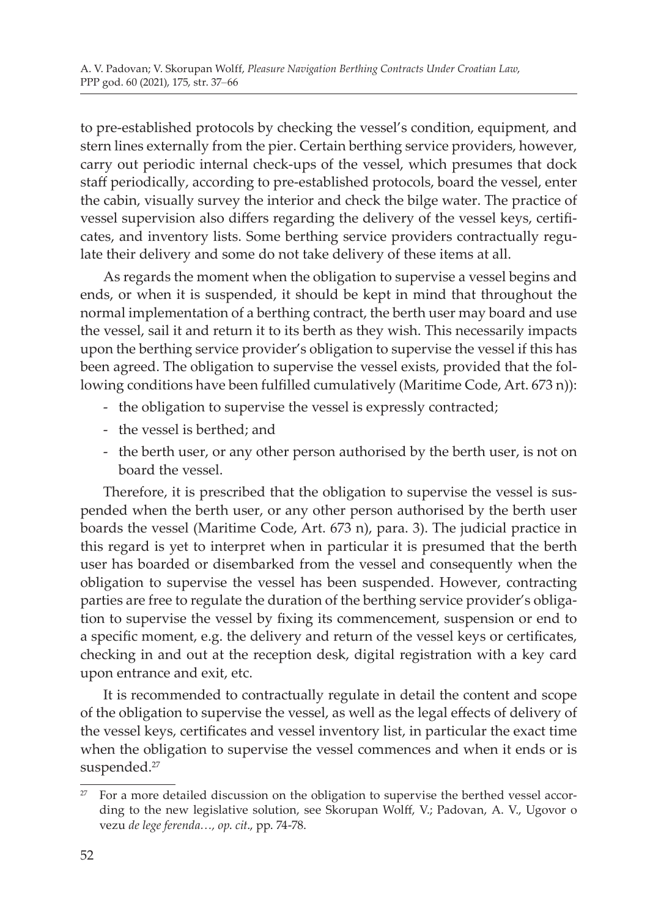to pre-established protocols by checking the vessel's condition, equipment, and stern lines externally from the pier. Certain berthing service providers, however, carry out periodic internal check-ups of the vessel, which presumes that dock staff periodically, according to pre-established protocols, board the vessel, enter the cabin, visually survey the interior and check the bilge water. The practice of vessel supervision also differs regarding the delivery of the vessel keys, certificates, and inventory lists. Some berthing service providers contractually regulate their delivery and some do not take delivery of these items at all.

As regards the moment when the obligation to supervise a vessel begins and ends, or when it is suspended, it should be kept in mind that throughout the normal implementation of a berthing contract, the berth user may board and use the vessel, sail it and return it to its berth as they wish. This necessarily impacts upon the berthing service provider's obligation to supervise the vessel if this has been agreed. The obligation to supervise the vessel exists, provided that the following conditions have been fulfilled cumulatively (Maritime Code, Art. 673 n)):

- the obligation to supervise the vessel is expressly contracted;
- the vessel is berthed; and
- the berth user, or any other person authorised by the berth user, is not on board the vessel.

Therefore, it is prescribed that the obligation to supervise the vessel is suspended when the berth user, or any other person authorised by the berth user boards the vessel (Maritime Code, Art. 673 n), para. 3). The judicial practice in this regard is yet to interpret when in particular it is presumed that the berth user has boarded or disembarked from the vessel and consequently when the obligation to supervise the vessel has been suspended. However, contracting parties are free to regulate the duration of the berthing service provider's obligation to supervise the vessel by fixing its commencement, suspension or end to a specific moment, e.g. the delivery and return of the vessel keys or certificates, checking in and out at the reception desk, digital registration with a key card upon entrance and exit, etc.

It is recommended to contractually regulate in detail the content and scope of the obligation to supervise the vessel, as well as the legal effects of delivery of the vessel keys, certificates and vessel inventory list, in particular the exact time when the obligation to supervise the vessel commences and when it ends or is suspended.<sup>27</sup>

 $27$  For a more detailed discussion on the obligation to supervise the berthed vessel according to the new legislative solution, see Skorupan Wolff, V.; Padovan, A. V., Ugovor o vezu *de lege ferenda…, op*. *cit*., pp. 74-78.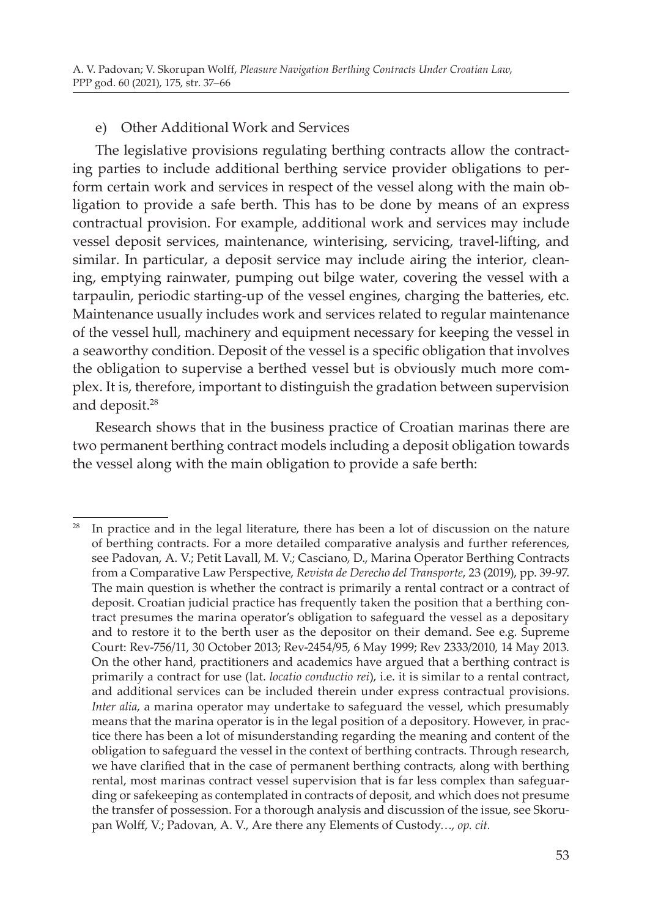#### e) Other Additional Work and Services

The legislative provisions regulating berthing contracts allow the contracting parties to include additional berthing service provider obligations to perform certain work and services in respect of the vessel along with the main obligation to provide a safe berth. This has to be done by means of an express contractual provision. For example, additional work and services may include vessel deposit services, maintenance, winterising, servicing, travel-lifting, and similar. In particular, a deposit service may include airing the interior, cleaning, emptying rainwater, pumping out bilge water, covering the vessel with a tarpaulin, periodic starting-up of the vessel engines, charging the batteries, etc. Maintenance usually includes work and services related to regular maintenance of the vessel hull, machinery and equipment necessary for keeping the vessel in a seaworthy condition. Deposit of the vessel is a specific obligation that involves the obligation to supervise a berthed vessel but is obviously much more complex. It is, therefore, important to distinguish the gradation between supervision and deposit.<sup>28</sup>

Research shows that in the business practice of Croatian marinas there are two permanent berthing contract models including a deposit obligation towards the vessel along with the main obligation to provide a safe berth:

 $28$  In practice and in the legal literature, there has been a lot of discussion on the nature of berthing contracts. For a more detailed comparative analysis and further references, see Padovan, A. V.; Petit Lavall, M. V.; Casciano, D., Marina Operator Berthing Contracts from a Comparative Law Perspective, *Revista de Derecho del Transporte*, 23 (2019), pp. 39-97. The main question is whether the contract is primarily a rental contract or a contract of deposit. Croatian judicial practice has frequently taken the position that a berthing contract presumes the marina operator's obligation to safeguard the vessel as a depositary and to restore it to the berth user as the depositor on their demand. See e.g. Supreme Court: Rev-756/11, 30 October 2013; Rev-2454/95, 6 May 1999; Rev 2333/2010, 14 May 2013. On the other hand, practitioners and academics have argued that a berthing contract is primarily a contract for use (lat. *locatio conductio rei*), i.e. it is similar to a rental contract, and additional services can be included therein under express contractual provisions. *Inter alia*, a marina operator may undertake to safeguard the vessel, which presumably means that the marina operator is in the legal position of a depository. However, in practice there has been a lot of misunderstanding regarding the meaning and content of the obligation to safeguard the vessel in the context of berthing contracts. Through research, we have clarified that in the case of permanent berthing contracts, along with berthing rental, most marinas contract vessel supervision that is far less complex than safeguarding or safekeeping as contemplated in contracts of deposit, and which does not presume the transfer of possession. For a thorough analysis and discussion of the issue, see Skorupan Wolff, V.; Padovan, A. V., Are there any Elements of Custody…, *op. cit.*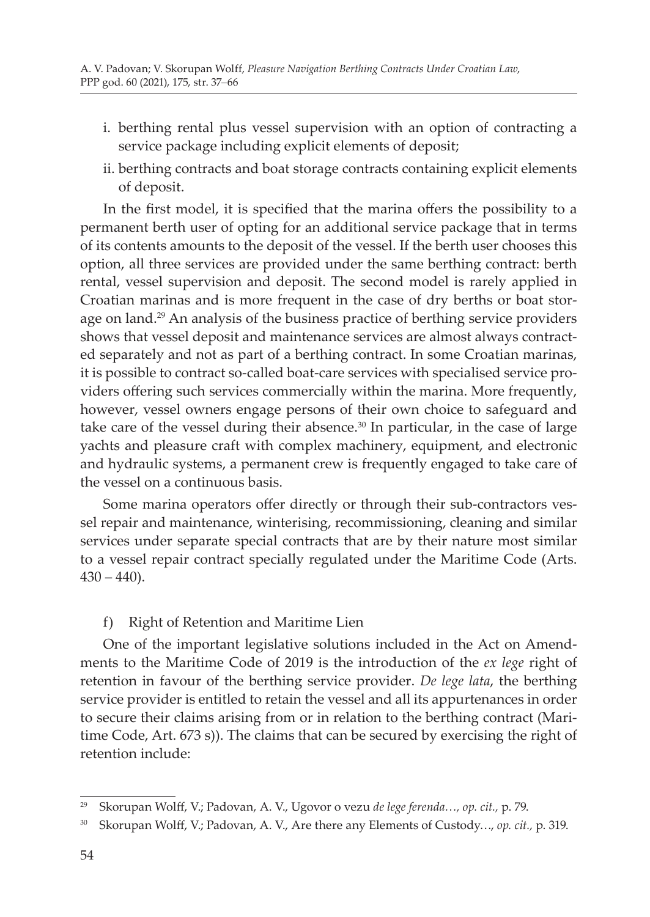- i. berthing rental plus vessel supervision with an option of contracting a service package including explicit elements of deposit;
- ii. berthing contracts and boat storage contracts containing explicit elements of deposit.

In the first model, it is specified that the marina offers the possibility to a permanent berth user of opting for an additional service package that in terms of its contents amounts to the deposit of the vessel. If the berth user chooses this option, all three services are provided under the same berthing contract: berth rental, vessel supervision and deposit. The second model is rarely applied in Croatian marinas and is more frequent in the case of dry berths or boat storage on land.<sup>29</sup> An analysis of the business practice of berthing service providers shows that vessel deposit and maintenance services are almost always contracted separately and not as part of a berthing contract. In some Croatian marinas, it is possible to contract so-called boat-care services with specialised service providers offering such services commercially within the marina. More frequently, however, vessel owners engage persons of their own choice to safeguard and take care of the vessel during their absence. $30$  In particular, in the case of large yachts and pleasure craft with complex machinery, equipment, and electronic and hydraulic systems, a permanent crew is frequently engaged to take care of the vessel on a continuous basis.

Some marina operators offer directly or through their sub-contractors vessel repair and maintenance, winterising, recommissioning, cleaning and similar services under separate special contracts that are by their nature most similar to a vessel repair contract specially regulated under the Maritime Code (Arts.  $430 - 440$ ).

# f) Right of Retention and Maritime Lien

One of the important legislative solutions included in the Act on Amendments to the Maritime Code of 2019 is the introduction of the *ex lege* right of retention in favour of the berthing service provider. *De lege lata*, the berthing service provider is entitled to retain the vessel and all its appurtenances in order to secure their claims arising from or in relation to the berthing contract (Maritime Code, Art. 673 s)). The claims that can be secured by exercising the right of retention include:

<sup>29</sup> Skorupan Wolff, V.; Padovan, A. V., Ugovor o vezu *de lege ferenda…, op. cit.,* p. 79.

<sup>30</sup> Skorupan Wolff, V.; Padovan, A. V., Are there any Elements of Custody…, *op. cit.,* p. 319.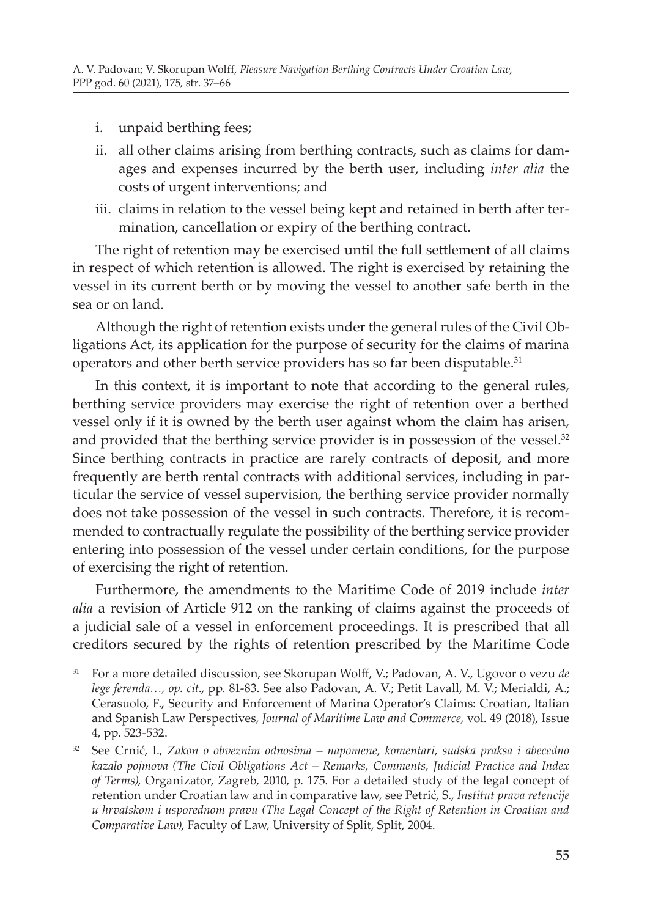- i. unpaid berthing fees;
- ii. all other claims arising from berthing contracts, such as claims for damages and expenses incurred by the berth user, including *inter alia* the costs of urgent interventions; and
- iii. claims in relation to the vessel being kept and retained in berth after termination, cancellation or expiry of the berthing contract.

The right of retention may be exercised until the full settlement of all claims in respect of which retention is allowed. The right is exercised by retaining the vessel in its current berth or by moving the vessel to another safe berth in the sea or on land.

Although the right of retention exists under the general rules of the Civil Obligations Act, its application for the purpose of security for the claims of marina operators and other berth service providers has so far been disputable.<sup>31</sup>

In this context, it is important to note that according to the general rules, berthing service providers may exercise the right of retention over a berthed vessel only if it is owned by the berth user against whom the claim has arisen, and provided that the berthing service provider is in possession of the vessel.<sup>32</sup> Since berthing contracts in practice are rarely contracts of deposit, and more frequently are berth rental contracts with additional services, including in particular the service of vessel supervision, the berthing service provider normally does not take possession of the vessel in such contracts. Therefore, it is recommended to contractually regulate the possibility of the berthing service provider entering into possession of the vessel under certain conditions, for the purpose of exercising the right of retention.

Furthermore, the amendments to the Maritime Code of 2019 include *inter alia* a revision of Article 912 on the ranking of claims against the proceeds of a judicial sale of a vessel in enforcement proceedings. It is prescribed that all creditors secured by the rights of retention prescribed by the Maritime Code

<sup>31</sup> For a more detailed discussion, see Skorupan Wolff, V.; Padovan, A. V., Ugovor o vezu *de lege ferenda…, op. cit*., pp. 81-83. See also Padovan, A. V.; Petit Lavall, M. V.; Merialdi, A.; Cerasuolo, F., Security and Enforcement of Marina Operator's Claims: Croatian, Italian and Spanish Law Perspectives, *Journal of Maritime Law and Commerce*, vol. 49 (2018), Issue 4, pp. 523-532.

<sup>32</sup> See Crnić, I., *Zakon o obveznim odnosima – napomene, komentari, sudska praksa i abecedno kazalo pojmova (The Civil Obligations Act – Remarks, Comments, Judicial Practice and Index of Terms)*, Organizator, Zagreb, 2010, p. 175. For a detailed study of the legal concept of retention under Croatian law and in comparative law, see Petrić, S., *Institut prava retencije u hrvatskom i usporednom pravu (The Legal Concept of the Right of Retention in Croatian and Comparative Law)*, Faculty of Law, University of Split, Split, 2004.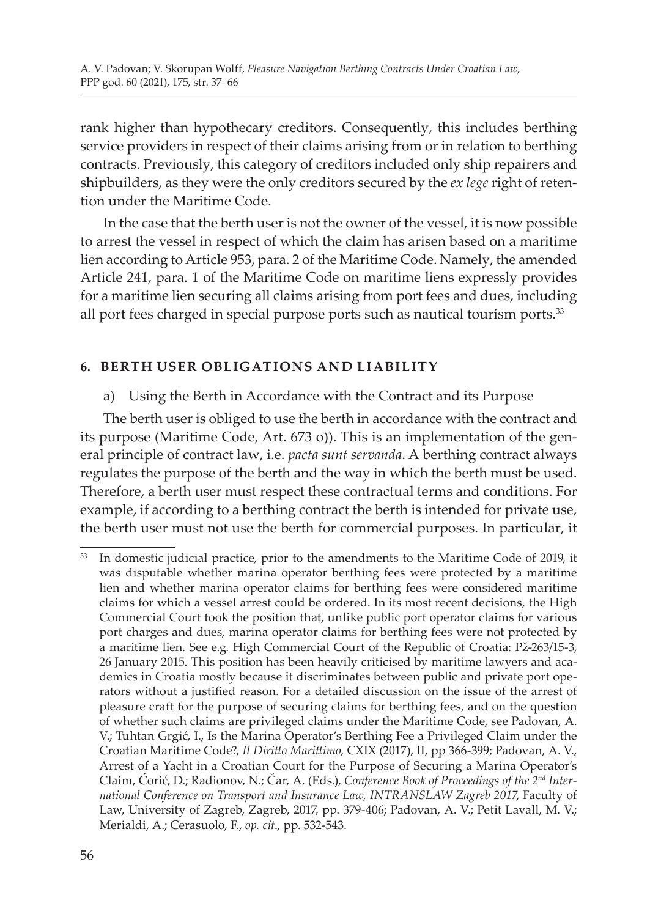rank higher than hypothecary creditors. Consequently, this includes berthing service providers in respect of their claims arising from or in relation to berthing contracts. Previously, this category of creditors included only ship repairers and shipbuilders, as they were the only creditors secured by the *ex lege* right of retention under the Maritime Code.

In the case that the berth user is not the owner of the vessel, it is now possible to arrest the vessel in respect of which the claim has arisen based on a maritime lien according to Article 953, para. 2 of the Maritime Code. Namely, the amended Article 241, para. 1 of the Maritime Code on maritime liens expressly provides for a maritime lien securing all claims arising from port fees and dues, including all port fees charged in special purpose ports such as nautical tourism ports.<sup>33</sup>

# **6. BERTH USER OBLIGATIONS AND LIABILITY**

a) Using the Berth in Accordance with the Contract and its Purpose

The berth user is obliged to use the berth in accordance with the contract and its purpose (Maritime Code, Art. 673 o)). This is an implementation of the general principle of contract law, i.e. *pacta sunt servanda*. A berthing contract always regulates the purpose of the berth and the way in which the berth must be used. Therefore, a berth user must respect these contractual terms and conditions. For example, if according to a berthing contract the berth is intended for private use, the berth user must not use the berth for commercial purposes. In particular, it

<sup>33</sup> In domestic judicial practice, prior to the amendments to the Maritime Code of 2019, it was disputable whether marina operator berthing fees were protected by a maritime lien and whether marina operator claims for berthing fees were considered maritime claims for which a vessel arrest could be ordered. In its most recent decisions, the High Commercial Court took the position that, unlike public port operator claims for various port charges and dues, marina operator claims for berthing fees were not protected by a maritime lien. See e.g. High Commercial Court of the Republic of Croatia: Pž-263/15-3, 26 January 2015. This position has been heavily criticised by maritime lawyers and academics in Croatia mostly because it discriminates between public and private port operators without a justified reason. For a detailed discussion on the issue of the arrest of pleasure craft for the purpose of securing claims for berthing fees, and on the question of whether such claims are privileged claims under the Maritime Code, see Padovan, A. V.; Tuhtan Grgić, I., Is the Marina Operator's Berthing Fee a Privileged Claim under the Croatian Maritime Code?, *Il Diritto Marittimo,* CXIX (2017), II, pp 366-399; Padovan, A. V., Arrest of a Yacht in a Croatian Court for the Purpose of Securing a Marina Operator's Claim, Ćorić, D.; Radionov, N.; Čar, A. (Eds.), *Conference Book of Proceedings of the 2nd International Conference on Transport and Insurance Law, INTRANSLAW Zagreb 2017*, Faculty of Law, University of Zagreb, Zagreb, 2017, pp. 379-406; Padovan, A. V.; Petit Lavall, M. V.; Merialdi, A.; Cerasuolo, F., *op. cit*., pp. 532-543.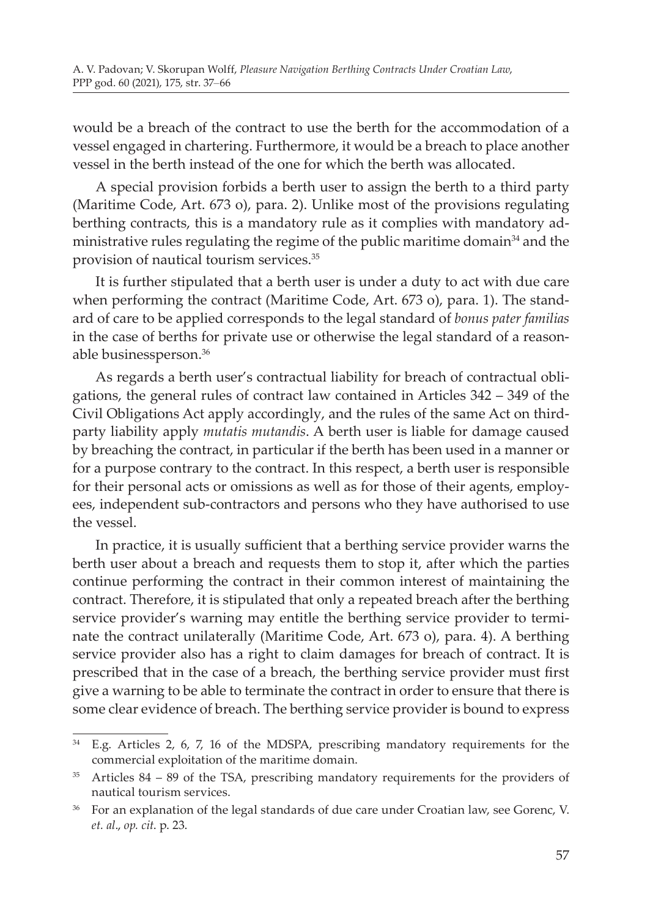would be a breach of the contract to use the berth for the accommodation of a vessel engaged in chartering. Furthermore, it would be a breach to place another vessel in the berth instead of the one for which the berth was allocated.

A special provision forbids a berth user to assign the berth to a third party (Maritime Code, Art. 673 o), para. 2). Unlike most of the provisions regulating berthing contracts, this is a mandatory rule as it complies with mandatory administrative rules regulating the regime of the public maritime domain<sup>34</sup> and the provision of nautical tourism services.<sup>35</sup>

It is further stipulated that a berth user is under a duty to act with due care when performing the contract (Maritime Code, Art. 673 o), para. 1). The standard of care to be applied corresponds to the legal standard of *bonus pater familias* in the case of berths for private use or otherwise the legal standard of a reasonable businessperson.36

As regards a berth user's contractual liability for breach of contractual obligations, the general rules of contract law contained in Articles 342 – 349 of the Civil Obligations Act apply accordingly, and the rules of the same Act on thirdparty liability apply *mutatis mutandis*. A berth user is liable for damage caused by breaching the contract, in particular if the berth has been used in a manner or for a purpose contrary to the contract. In this respect, a berth user is responsible for their personal acts or omissions as well as for those of their agents, employees, independent sub-contractors and persons who they have authorised to use the vessel.

In practice, it is usually sufficient that a berthing service provider warns the berth user about a breach and requests them to stop it, after which the parties continue performing the contract in their common interest of maintaining the contract. Therefore, it is stipulated that only a repeated breach after the berthing service provider's warning may entitle the berthing service provider to terminate the contract unilaterally (Maritime Code, Art. 673 o), para. 4). A berthing service provider also has a right to claim damages for breach of contract. It is prescribed that in the case of a breach, the berthing service provider must first give a warning to be able to terminate the contract in order to ensure that there is some clear evidence of breach. The berthing service provider is bound to express

<sup>34</sup> E.g. Articles 2, 6, 7, 16 of the MDSPA, prescribing mandatory requirements for the commercial exploitation of the maritime domain.

 $35$  Articles  $84 - 89$  of the TSA, prescribing mandatory requirements for the providers of nautical tourism services.

<sup>&</sup>lt;sup>36</sup> For an explanation of the legal standards of due care under Croatian law, see Gorenc, V. *et. al*., *op. cit*. p. 23.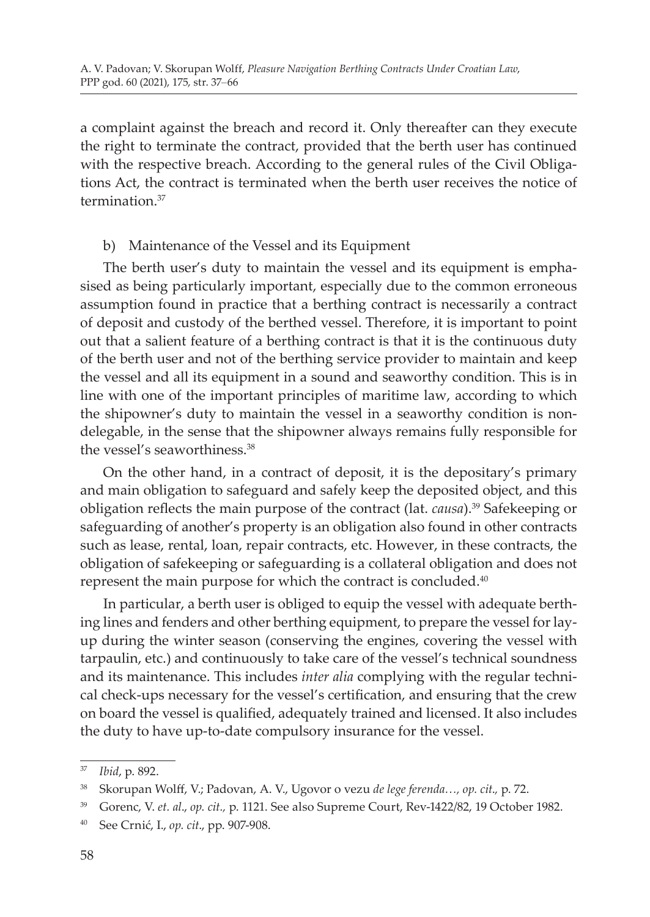a complaint against the breach and record it. Only thereafter can they execute the right to terminate the contract, provided that the berth user has continued with the respective breach. According to the general rules of the Civil Obligations Act, the contract is terminated when the berth user receives the notice of termination<sup>37</sup>

# b) Maintenance of the Vessel and its Equipment

The berth user's duty to maintain the vessel and its equipment is emphasised as being particularly important, especially due to the common erroneous assumption found in practice that a berthing contract is necessarily a contract of deposit and custody of the berthed vessel. Therefore, it is important to point out that a salient feature of a berthing contract is that it is the continuous duty of the berth user and not of the berthing service provider to maintain and keep the vessel and all its equipment in a sound and seaworthy condition. This is in line with one of the important principles of maritime law, according to which the shipowner's duty to maintain the vessel in a seaworthy condition is nondelegable, in the sense that the shipowner always remains fully responsible for the vessel's seaworthiness.<sup>38</sup>

On the other hand, in a contract of deposit, it is the depositary's primary and main obligation to safeguard and safely keep the deposited object, and this obligation reflects the main purpose of the contract (lat. *causa*).39 Safekeeping or safeguarding of another's property is an obligation also found in other contracts such as lease, rental, loan, repair contracts, etc. However, in these contracts, the obligation of safekeeping or safeguarding is a collateral obligation and does not represent the main purpose for which the contract is concluded.40

In particular, a berth user is obliged to equip the vessel with adequate berthing lines and fenders and other berthing equipment, to prepare the vessel for layup during the winter season (conserving the engines, covering the vessel with tarpaulin, etc.) and continuously to take care of the vessel's technical soundness and its maintenance. This includes *inter alia* complying with the regular technical check-ups necessary for the vessel's certification, and ensuring that the crew on board the vessel is qualified, adequately trained and licensed. It also includes the duty to have up-to-date compulsory insurance for the vessel.

<sup>37</sup> *Ibid*, p. 892.

<sup>38</sup> Skorupan Wolff, V.; Padovan, A. V., Ugovor o vezu *de lege ferenda…, op. cit*.*,* p. 72.

<sup>39</sup> Gorenc, V. *et. al*., *op. cit.,* p. 1121. See also Supreme Court, Rev-1422/82, 19 October 1982.

<sup>40</sup> See Crnić, I., *op. cit*., pp. 907-908.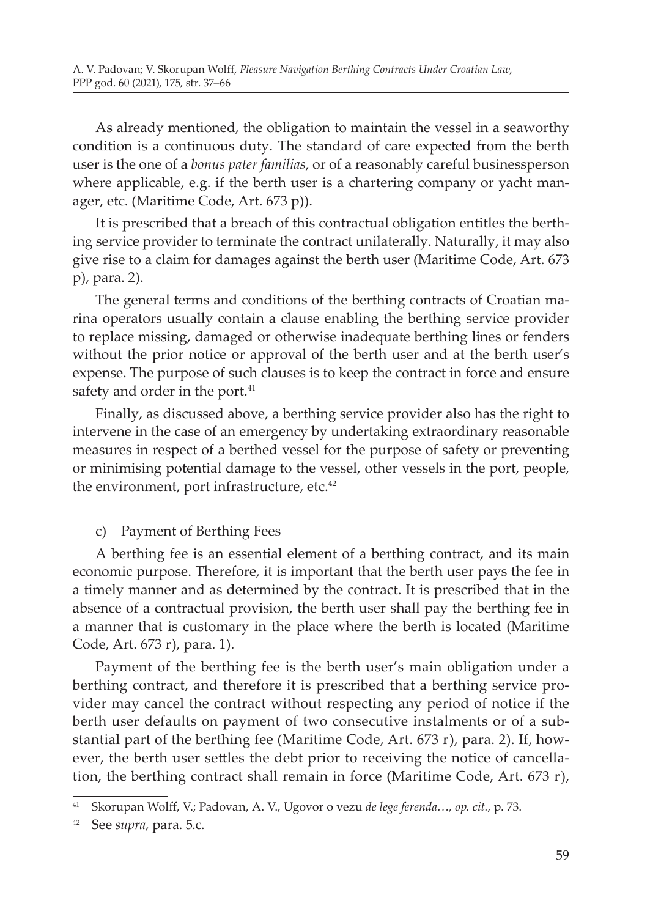As already mentioned, the obligation to maintain the vessel in a seaworthy condition is a continuous duty. The standard of care expected from the berth user is the one of a *bonus pater familias*, or of a reasonably careful businessperson where applicable, e.g. if the berth user is a chartering company or yacht manager, etc. (Maritime Code, Art. 673 p)).

It is prescribed that a breach of this contractual obligation entitles the berthing service provider to terminate the contract unilaterally. Naturally, it may also give rise to a claim for damages against the berth user (Maritime Code, Art. 673 p), para. 2).

The general terms and conditions of the berthing contracts of Croatian marina operators usually contain a clause enabling the berthing service provider to replace missing, damaged or otherwise inadequate berthing lines or fenders without the prior notice or approval of the berth user and at the berth user's expense. The purpose of such clauses is to keep the contract in force and ensure safety and order in the port.<sup>41</sup>

Finally, as discussed above, a berthing service provider also has the right to intervene in the case of an emergency by undertaking extraordinary reasonable measures in respect of a berthed vessel for the purpose of safety or preventing or minimising potential damage to the vessel, other vessels in the port, people, the environment, port infrastructure, etc.<sup>42</sup>

c) Payment of Berthing Fees

A berthing fee is an essential element of a berthing contract, and its main economic purpose. Therefore, it is important that the berth user pays the fee in a timely manner and as determined by the contract. It is prescribed that in the absence of a contractual provision, the berth user shall pay the berthing fee in a manner that is customary in the place where the berth is located (Maritime Code, Art. 673 r), para. 1).

Payment of the berthing fee is the berth user's main obligation under a berthing contract, and therefore it is prescribed that a berthing service provider may cancel the contract without respecting any period of notice if the berth user defaults on payment of two consecutive instalments or of a substantial part of the berthing fee (Maritime Code, Art. 673 r), para. 2). If, however, the berth user settles the debt prior to receiving the notice of cancellation, the berthing contract shall remain in force (Maritime Code, Art. 673 r),

<sup>41</sup> Skorupan Wolff, V.; Padovan, A. V., Ugovor o vezu *de lege ferenda…, op. cit.,* p. 73.

<sup>42</sup> See *supra*, para. 5.c.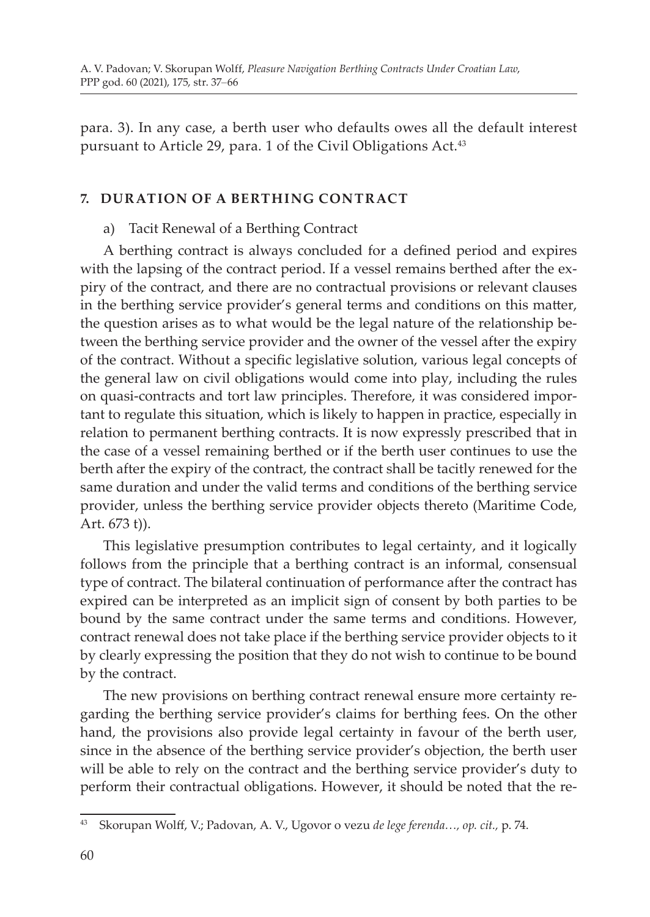para. 3). In any case, a berth user who defaults owes all the default interest pursuant to Article 29, para. 1 of the Civil Obligations Act.<sup>43</sup>

# **7. DURATION OF A BERTHING CONTRACT**

#### a) Tacit Renewal of a Berthing Contract

A berthing contract is always concluded for a defined period and expires with the lapsing of the contract period. If a vessel remains berthed after the expiry of the contract, and there are no contractual provisions or relevant clauses in the berthing service provider's general terms and conditions on this matter, the question arises as to what would be the legal nature of the relationship between the berthing service provider and the owner of the vessel after the expiry of the contract. Without a specific legislative solution, various legal concepts of the general law on civil obligations would come into play, including the rules on quasi-contracts and tort law principles. Therefore, it was considered important to regulate this situation, which is likely to happen in practice, especially in relation to permanent berthing contracts. It is now expressly prescribed that in the case of a vessel remaining berthed or if the berth user continues to use the berth after the expiry of the contract, the contract shall be tacitly renewed for the same duration and under the valid terms and conditions of the berthing service provider, unless the berthing service provider objects thereto (Maritime Code, Art. 673 t)).

This legislative presumption contributes to legal certainty, and it logically follows from the principle that a berthing contract is an informal, consensual type of contract. The bilateral continuation of performance after the contract has expired can be interpreted as an implicit sign of consent by both parties to be bound by the same contract under the same terms and conditions. However, contract renewal does not take place if the berthing service provider objects to it by clearly expressing the position that they do not wish to continue to be bound by the contract.

The new provisions on berthing contract renewal ensure more certainty regarding the berthing service provider's claims for berthing fees. On the other hand, the provisions also provide legal certainty in favour of the berth user, since in the absence of the berthing service provider's objection, the berth user will be able to rely on the contract and the berthing service provider's duty to perform their contractual obligations. However, it should be noted that the re-

<sup>43</sup> Skorupan Wolff, V.; Padovan, A. V., Ugovor o vezu *de lege ferenda…, op. cit.,* p. 74.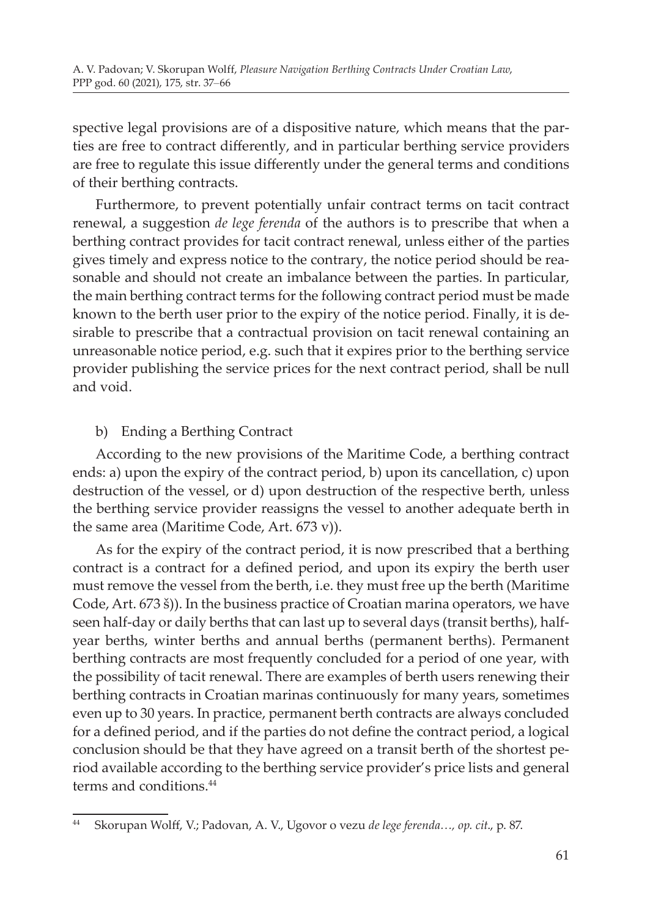spective legal provisions are of a dispositive nature, which means that the parties are free to contract differently, and in particular berthing service providers are free to regulate this issue differently under the general terms and conditions of their berthing contracts.

Furthermore, to prevent potentially unfair contract terms on tacit contract renewal, a suggestion *de lege ferenda* of the authors is to prescribe that when a berthing contract provides for tacit contract renewal, unless either of the parties gives timely and express notice to the contrary, the notice period should be reasonable and should not create an imbalance between the parties. In particular, the main berthing contract terms for the following contract period must be made known to the berth user prior to the expiry of the notice period. Finally, it is desirable to prescribe that a contractual provision on tacit renewal containing an unreasonable notice period, e.g. such that it expires prior to the berthing service provider publishing the service prices for the next contract period, shall be null and void.

# b) Ending a Berthing Contract

According to the new provisions of the Maritime Code, a berthing contract ends: a) upon the expiry of the contract period, b) upon its cancellation, c) upon destruction of the vessel, or d) upon destruction of the respective berth, unless the berthing service provider reassigns the vessel to another adequate berth in the same area (Maritime Code, Art. 673 v)).

As for the expiry of the contract period, it is now prescribed that a berthing contract is a contract for a defined period, and upon its expiry the berth user must remove the vessel from the berth, i.e. they must free up the berth (Maritime Code, Art. 673 š)). In the business practice of Croatian marina operators, we have seen half-day or daily berths that can last up to several days (transit berths), halfyear berths, winter berths and annual berths (permanent berths). Permanent berthing contracts are most frequently concluded for a period of one year, with the possibility of tacit renewal. There are examples of berth users renewing their berthing contracts in Croatian marinas continuously for many years, sometimes even up to 30 years. In practice, permanent berth contracts are always concluded for a defined period, and if the parties do not define the contract period, a logical conclusion should be that they have agreed on a transit berth of the shortest period available according to the berthing service provider's price lists and general terms and conditions.<sup>44</sup>

<sup>44</sup> Skorupan Wolff, V.; Padovan, A. V., Ugovor o vezu *de lege ferenda…, op. cit*., p. 87.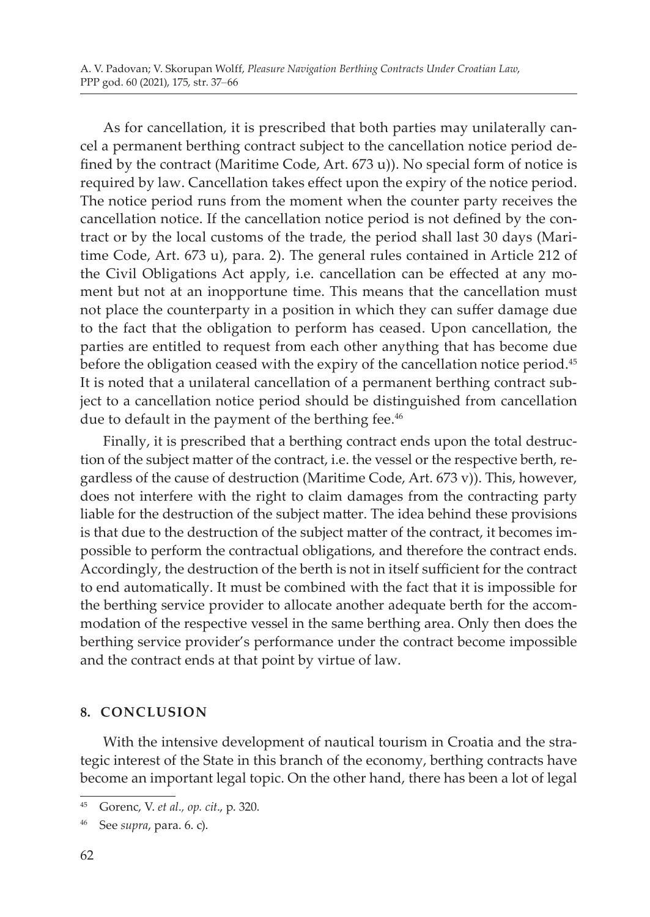As for cancellation, it is prescribed that both parties may unilaterally cancel a permanent berthing contract subject to the cancellation notice period defined by the contract (Maritime Code, Art. 673 u)). No special form of notice is required by law. Cancellation takes effect upon the expiry of the notice period. The notice period runs from the moment when the counter party receives the cancellation notice. If the cancellation notice period is not defined by the contract or by the local customs of the trade, the period shall last 30 days (Maritime Code, Art. 673 u), para. 2). The general rules contained in Article 212 of the Civil Obligations Act apply, i.e. cancellation can be effected at any moment but not at an inopportune time. This means that the cancellation must not place the counterparty in a position in which they can suffer damage due to the fact that the obligation to perform has ceased. Upon cancellation, the parties are entitled to request from each other anything that has become due before the obligation ceased with the expiry of the cancellation notice period.<sup>45</sup> It is noted that a unilateral cancellation of a permanent berthing contract subject to a cancellation notice period should be distinguished from cancellation due to default in the payment of the berthing fee.<sup>46</sup>

Finally, it is prescribed that a berthing contract ends upon the total destruction of the subject matter of the contract, i.e. the vessel or the respective berth, regardless of the cause of destruction (Maritime Code, Art. 673 v)). This, however, does not interfere with the right to claim damages from the contracting party liable for the destruction of the subject matter. The idea behind these provisions is that due to the destruction of the subject matter of the contract, it becomes impossible to perform the contractual obligations, and therefore the contract ends. Accordingly, the destruction of the berth is not in itself sufficient for the contract to end automatically. It must be combined with the fact that it is impossible for the berthing service provider to allocate another adequate berth for the accommodation of the respective vessel in the same berthing area. Only then does the berthing service provider's performance under the contract become impossible and the contract ends at that point by virtue of law.

# **8. CONCLUSION**

With the intensive development of nautical tourism in Croatia and the strategic interest of the State in this branch of the economy, berthing contracts have become an important legal topic. On the other hand, there has been a lot of legal

<sup>45</sup> Gorenc, V. *et al., op. cit*., p. 320.

<sup>46</sup> See *supra*, para. 6. c).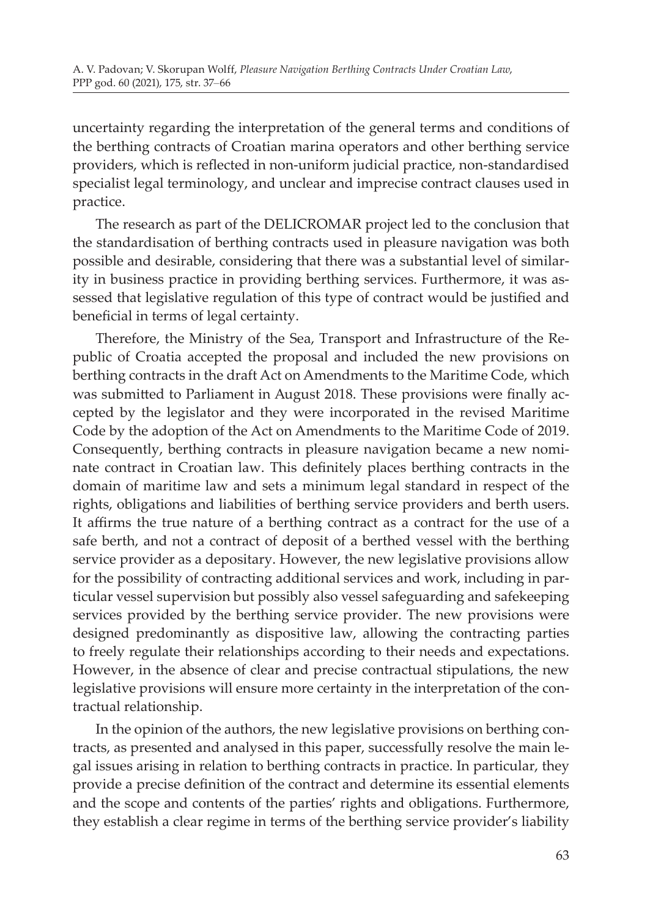uncertainty regarding the interpretation of the general terms and conditions of the berthing contracts of Croatian marina operators and other berthing service providers, which is reflected in non-uniform judicial practice, non-standardised specialist legal terminology, and unclear and imprecise contract clauses used in practice.

The research as part of the DELICROMAR project led to the conclusion that the standardisation of berthing contracts used in pleasure navigation was both possible and desirable, considering that there was a substantial level of similarity in business practice in providing berthing services. Furthermore, it was assessed that legislative regulation of this type of contract would be justified and beneficial in terms of legal certainty.

Therefore, the Ministry of the Sea, Transport and Infrastructure of the Republic of Croatia accepted the proposal and included the new provisions on berthing contracts in the draft Act on Amendments to the Maritime Code, which was submitted to Parliament in August 2018. These provisions were finally accepted by the legislator and they were incorporated in the revised Maritime Code by the adoption of the Act on Amendments to the Maritime Code of 2019. Consequently, berthing contracts in pleasure navigation became a new nominate contract in Croatian law. This definitely places berthing contracts in the domain of maritime law and sets a minimum legal standard in respect of the rights, obligations and liabilities of berthing service providers and berth users. It affirms the true nature of a berthing contract as a contract for the use of a safe berth, and not a contract of deposit of a berthed vessel with the berthing service provider as a depositary. However, the new legislative provisions allow for the possibility of contracting additional services and work, including in particular vessel supervision but possibly also vessel safeguarding and safekeeping services provided by the berthing service provider. The new provisions were designed predominantly as dispositive law, allowing the contracting parties to freely regulate their relationships according to their needs and expectations. However, in the absence of clear and precise contractual stipulations, the new legislative provisions will ensure more certainty in the interpretation of the contractual relationship.

In the opinion of the authors, the new legislative provisions on berthing contracts, as presented and analysed in this paper, successfully resolve the main legal issues arising in relation to berthing contracts in practice. In particular, they provide a precise definition of the contract and determine its essential elements and the scope and contents of the parties' rights and obligations. Furthermore, they establish a clear regime in terms of the berthing service provider's liability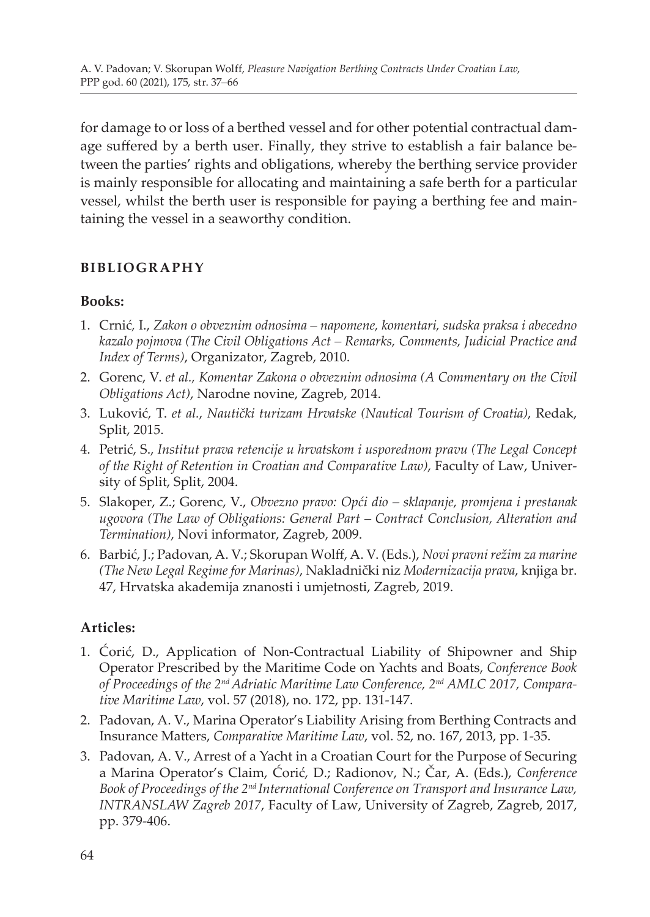for damage to or loss of a berthed vessel and for other potential contractual damage suffered by a berth user. Finally, they strive to establish a fair balance between the parties' rights and obligations, whereby the berthing service provider is mainly responsible for allocating and maintaining a safe berth for a particular vessel, whilst the berth user is responsible for paying a berthing fee and maintaining the vessel in a seaworthy condition.

#### **BIBLIOGRAPHY**

#### **Books:**

- 1. Crnić*,* I., *Zakon o obveznim odnosima napomene, komentari, sudska praksa i abecedno kazalo pojmova (The Civil Obligations Act – Remarks, Comments, Judicial Practice and Index of Terms)*, Organizator, Zagreb, 2010.
- 2. Gorenc, V. *et al., Komentar Zakona o obveznim odnosima (A Commentary on the Civil Obligations Act)*, Narodne novine, Zagreb, 2014.
- 3. Luković, T. *et al.*, *Nautički turizam Hrvatske (Nautical Tourism of Croatia)*, Redak, Split, 2015.
- 4. Petrić, S., *Institut prava retencije u hrvatskom i usporednom pravu (The Legal Concept of the Right of Retention in Croatian and Comparative Law)*, Faculty of Law, University of Split, Split, 2004.
- 5. Slakoper, Z.; Gorenc, V., *Obvezno pravo: Opći dio sklapanje, promjena i prestanak ugovora (The Law of Obligations: General Part – Contract Conclusion, Alteration and Termination)*, Novi informator, Zagreb, 2009.
- 6. Barbić, J.; Padovan, A. V.; Skorupan Wolff, A. V. (Eds.), *Novi pravni režim za marine (The New Legal Regime for Marinas)*, Nakladnički niz *Modernizacija prava*, knjiga br. 47, Hrvatska akademija znanosti i umjetnosti, Zagreb, 2019.

# **Articles:**

- 1. Ćorić, D., Application of Non-Contractual Liability of Shipowner and Ship Operator Prescribed by the Maritime Code on Yachts and Boats, *Conference Book of Proceedings of the 2nd Adriatic Maritime Law Conference, 2nd AMLC 2017, Comparative Maritime Law*, vol. 57 (2018), no. 172, pp. 131-147.
- 2. Padovan, A. V., Marina Operator's Liability Arising from Berthing Contracts and Insurance Matters, *Comparative Maritime Law*, vol. 52, no. 167, 2013, pp. 1-35.
- 3. Padovan, A. V., Arrest of a Yacht in a Croatian Court for the Purpose of Securing a Marina Operator's Claim, Ćorić, D.; Radionov, N.; Čar, A. (Eds.), *Conference Book of Proceedings of the 2nd International Conference on Transport and Insurance Law, INTRANSLAW Zagreb 2017*, Faculty of Law, University of Zagreb, Zagreb, 2017, pp. 379-406.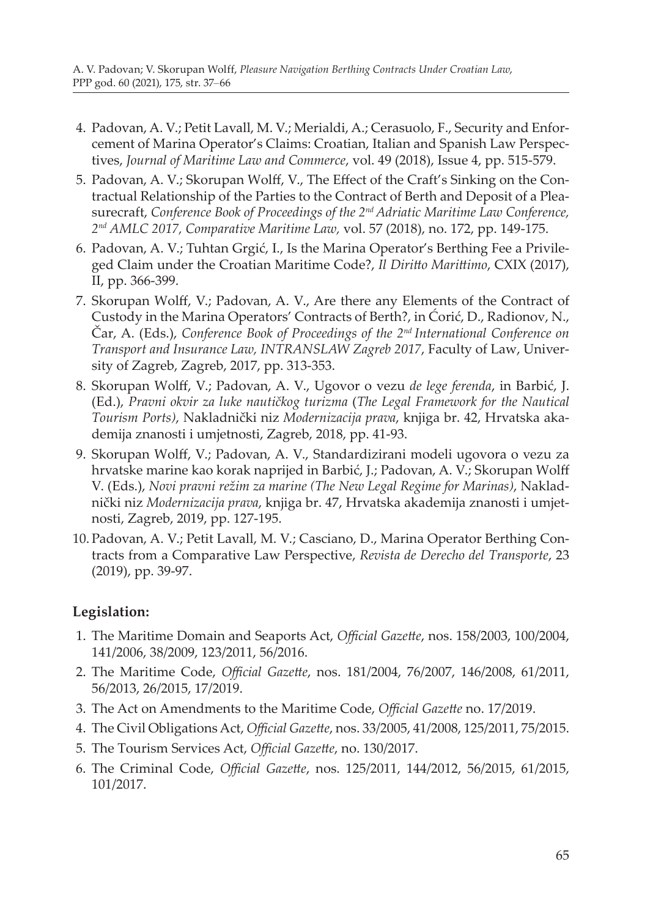- 4. Padovan, A. V.; Petit Lavall, M. V.; Merialdi, A.; Cerasuolo, F., Security and Enforcement of Marina Operator's Claims: Croatian, Italian and Spanish Law Perspectives, *Journal of Maritime Law and Commerce*, vol. 49 (2018), Issue 4, pp. 515-579.
- 5. Padovan, A. V.; Skorupan Wolff, V., The Effect of the Craft's Sinking on the Contractual Relationship of the Parties to the Contract of Berth and Deposit of a Pleasurecraft, *Conference Book of Proceedings of the 2nd Adriatic Maritime Law Conference, 2nd AMLC 2017, Comparative Maritime Law,* vol. 57 (2018), no. 172, pp. 149-175.
- 6. Padovan, A. V.; Tuhtan Grgić, I., Is the Marina Operator's Berthing Fee a Privileged Claim under the Croatian Maritime Code?, *Il Diritto Marittimo*, CXIX (2017), II, pp. 366-399.
- 7. Skorupan Wolff, V.; Padovan, A. V., Are there any Elements of the Contract of Custody in the Marina Operators' Contracts of Berth?, in Ćorić, D., Radionov, N., Čar, A. (Eds.), *Conference Book of Proceedings of the 2nd International Conference on Transport and Insurance Law, INTRANSLAW Zagreb 2017*, Faculty of Law, University of Zagreb, Zagreb, 2017, pp. 313-353.
- 8. Skorupan Wolff, V.; Padovan, A. V., Ugovor o vezu *de lege ferenda*, in Barbić, J. (Ed.), *Pravni okvir za luke nautičkog turizma* (*The Legal Framework for the Nautical Tourism Ports)*, Nakladnički niz *Modernizacija prava*, knjiga br. 42, Hrvatska akademija znanosti i umjetnosti, Zagreb, 2018, pp. 41-93.
- 9. Skorupan Wolff, V.; Padovan, A. V., Standardizirani modeli ugovora o vezu za hrvatske marine kao korak naprijed in Barbić, J.; Padovan, A. V.; Skorupan Wolff V. (Eds.), *Novi pravni režim za marine (The New Legal Regime for Marinas)*, Nakladnički niz *Modernizacija prava*, knjiga br. 47, Hrvatska akademija znanosti i umjetnosti, Zagreb, 2019, pp. 127-195.
- 10. Padovan, A. V.; Petit Lavall, M. V.; Casciano, D., Marina Operator Berthing Contracts from a Comparative Law Perspective, *Revista de Derecho del Transporte*, 23 (2019), pp. 39-97.

# **Legislation:**

- 1. The Maritime Domain and Seaports Act, *Official Gazette*, nos. 158/2003, 100/2004, 141/2006, 38/2009, 123/2011, 56/2016.
- 2. The Maritime Code, *Official Gazette*, nos. 181/2004, 76/2007, 146/2008, 61/2011, 56/2013, 26/2015, 17/2019.
- 3. The Act on Amendments to the Maritime Code, *Official Gazette* no. 17/2019.
- 4. The Civil Obligations Act, *Official Gazette*, nos. 33/2005, 41/2008, 125/2011, 75/2015.
- 5. The Tourism Services Act, *Official Gazette*, no. 130/2017.
- 6. The Criminal Code, *Official Gazette*, nos. 125/2011, 144/2012, 56/2015, 61/2015, 101/2017.